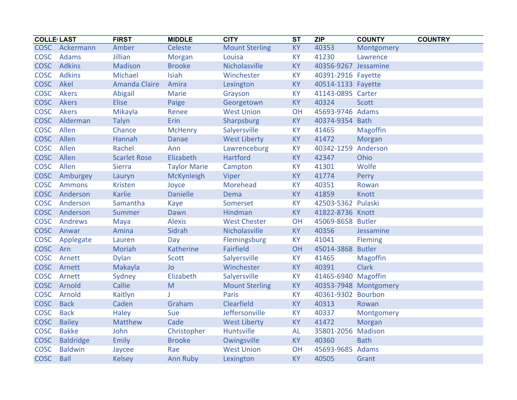| <b>COLLE LAST</b> |                  | <b>FIRST</b>         | <b>MIDDLE</b>       | <b>CITY</b>           | <b>ST</b> | <b>ZIP</b>           | <b>COUNTY</b><br><b>COUNTRY</b> |
|-------------------|------------------|----------------------|---------------------|-----------------------|-----------|----------------------|---------------------------------|
| <b>COSC</b>       | Ackermann        | Amber                | Celeste             | <b>Mount Sterling</b> | <b>KY</b> | 40353                | Montgomery                      |
| <b>COSC</b>       | <b>Adams</b>     | Jillian              | <b>Morgan</b>       | Louisa                | KY        | 41230                | Lawrence                        |
| <b>COSC</b>       | <b>Adkins</b>    | <b>Madison</b>       | <b>Brooke</b>       | Nicholasville         | KY        | 40356-9267 Jessamine |                                 |
| <b>COSC</b>       | <b>Adkins</b>    | Michael              | Isiah               | Winchester            | KY        | 40391-2916 Fayette   |                                 |
| <b>COSC</b>       | Akel             | <b>Amanda Claire</b> | Amira               | Lexington             | <b>KY</b> | 40514-1133 Fayette   |                                 |
| <b>COSC</b>       | <b>Akers</b>     | Abigail              | <b>Marie</b>        | Grayson               | <b>KY</b> | 41143-0895 Carter    |                                 |
| <b>COSC</b>       | Akers            | <b>Elise</b>         | Paige               | Georgetown            | <b>KY</b> | 40324                | <b>Scott</b>                    |
| <b>COSC</b>       | <b>Akers</b>     | Mikayla              | Renee               | <b>West Union</b>     | OH        | 45693-9746 Adams     |                                 |
| <b>COSC</b>       | Alderman         | Talyn                | Erin                | Sharpsburg            | KY        | 40374-9354           | <b>Bath</b>                     |
| <b>COSC</b>       | Allen            | Chance               | <b>McHenry</b>      | Salyersville          | <b>KY</b> | 41465                | Magoffin                        |
| <b>COSC</b>       | Allen            | Hannah               | <b>Danae</b>        | <b>West Liberty</b>   | <b>KY</b> | 41472                | Morgan                          |
| <b>COSC</b>       | Allen            | Rachel               | Ann                 | Lawrenceburg          | <b>KY</b> | 40342-1259           | Anderson                        |
| <b>COSC</b>       | Allen            | <b>Scarlet Rose</b>  | Elizabeth           | <b>Hartford</b>       | KY        | 42347                | Ohio                            |
| <b>COSC</b>       | Allen            | <b>Sierra</b>        | <b>Taylor Marie</b> | Campton               | KY        | 41301                | Wolfe                           |
| <b>COSC</b>       | Amburgey         | Lauryn               | McKynleigh          | Viper                 | KY        | 41774                | Perry                           |
| <b>COSC</b>       | <b>Ammons</b>    | <b>Kristen</b>       | Joyce               | Morehead              | KY        | 40351                | Rowan                           |
| <b>COSC</b>       | Anderson         | <b>Karlie</b>        | <b>Danielle</b>     | Dema                  | KY        | 41859                | Knott                           |
| <b>COSC</b>       | Anderson         | Samantha             | <b>Kaye</b>         | Somerset              | KY        | 42503-5362 Pulaski   |                                 |
| <b>COSC</b>       | Anderson         | Summer               | Dawn                | Hindman               | KY        | 41822-8736 Knott     |                                 |
| <b>COSC</b>       | <b>Andrews</b>   | Maya                 | <b>Alexis</b>       | <b>West Chester</b>   | OH        | 45069-8658 Butler    |                                 |
| <b>COSC</b>       | Anwar            | Amina                | Sidrah              | Nicholasville         | <b>KY</b> | 40356                | Jessamine                       |
| <b>COSC</b>       | Applegate        | Lauren               | Day                 | Flemingsburg          | KY        | 41041                | <b>Fleming</b>                  |
| <b>COSC</b>       | Arn              | <b>Moriah</b>        | <b>Katherine</b>    | <b>Fairfield</b>      | OH        | 45014-3868           | <b>Butler</b>                   |
| <b>COSC</b>       | Arnett           | <b>Dylan</b>         | <b>Scott</b>        | Salyersville          | <b>KY</b> | 41465                | <b>Magoffin</b>                 |
| <b>COSC</b>       | Arnett           | Makayla              | <b>Jo</b>           | Winchester            | <b>KY</b> | 40391                | <b>Clark</b>                    |
| <b>COSC</b>       | Arnett           | Sydney               | Elizabeth           | Salyersville          | <b>KY</b> | 41465-6940 Magoffin  |                                 |
| <b>COSC</b>       | Arnold           | Callie               | M                   | <b>Mount Sterling</b> | KY        |                      | 40353-7948 Montgomery           |
| <b>COSC</b>       | Arnold           | Kaitlyn              | т                   | <b>Paris</b>          | KY        | 40361-9302           | <b>Bourbon</b>                  |
| <b>COSC</b>       | <b>Back</b>      | Caden                | Graham              | Clearfield            | <b>KY</b> | 40313                | Rowan                           |
| <b>COSC</b>       | <b>Back</b>      | <b>Haley</b>         | Sue                 | Jeffersonville        | <b>KY</b> | 40337                | Montgomery                      |
| <b>COSC</b>       | <b>Bailey</b>    | Matthew              | Cade                | <b>West Liberty</b>   | <b>KY</b> | 41472                | Morgan                          |
| <b>COSC</b>       | <b>Bakke</b>     | John                 | Christopher         | Huntsville            | <b>AL</b> | 35801-2056           | <b>Madison</b>                  |
| <b>COSC</b>       | <b>Baldridge</b> | <b>Emily</b>         | <b>Brooke</b>       | Owingsville           | KY        | 40360                | <b>Bath</b>                     |
| <b>COSC</b>       | <b>Baldwin</b>   | Jaycee               | Rae                 | <b>West Union</b>     | OH        | 45693-9685           | Adams                           |
| <b>COSC</b>       | <b>Ball</b>      | <b>Kelsey</b>        | <b>Ann Ruby</b>     | Lexington             | KY        | 40505                | Grant                           |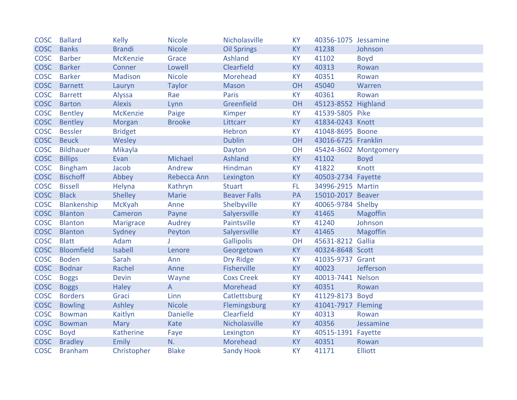| <b>COSC</b> | <b>Ballard</b>   | <b>Kelly</b>     | <b>Nicole</b>   | Nicholasville       | <b>KY</b> | 40356-1075 Jessamine |                       |
|-------------|------------------|------------------|-----------------|---------------------|-----------|----------------------|-----------------------|
| <b>COSC</b> | <b>Banks</b>     | <b>Brandi</b>    | <b>Nicole</b>   | <b>Oil Springs</b>  | <b>KY</b> | 41238                | Johnson               |
| <b>COSC</b> | <b>Barber</b>    | <b>McKenzie</b>  | Grace           | Ashland             | <b>KY</b> | 41102                | <b>Boyd</b>           |
| <b>COSC</b> | <b>Barker</b>    | Conner           | Lowell          | Clearfield          | <b>KY</b> | 40313                | Rowan                 |
| <b>COSC</b> | <b>Barker</b>    | <b>Madison</b>   | <b>Nicole</b>   | Morehead            | <b>KY</b> | 40351                | Rowan                 |
| <b>COSC</b> | <b>Barnett</b>   | Lauryn           | <b>Taylor</b>   | <b>Mason</b>        | OH        | 45040                | Warren                |
| <b>COSC</b> | <b>Barrett</b>   | Alyssa           | Rae             | Paris               | <b>KY</b> | 40361                | Rowan                 |
| <b>COSC</b> | <b>Barton</b>    | <b>Alexis</b>    | Lynn            | Greenfield          | OH        | 45123-8552 Highland  |                       |
| <b>COSC</b> | Bentley          | <b>McKenzie</b>  | Paige           | <b>Kimper</b>       | <b>KY</b> | 41539-5805 Pike      |                       |
| <b>COSC</b> | Bentley          | Morgan           | <b>Brooke</b>   | Littcarr            | <b>KY</b> | 41834-0243 Knott     |                       |
| <b>COSC</b> | <b>Bessler</b>   | <b>Bridget</b>   |                 | <b>Hebron</b>       | <b>KY</b> | 41048-8695 Boone     |                       |
| <b>COSC</b> | <b>Beuck</b>     | Wesley           |                 | <b>Dublin</b>       | <b>OH</b> | 43016-6725 Franklin  |                       |
| <b>COSC</b> | <b>Bildhauer</b> | Mikayla          |                 | Dayton              | OH        |                      | 45424-3602 Montgomery |
| <b>COSC</b> | <b>Billips</b>   | Evan             | Michael         | Ashland             | <b>KY</b> | 41102                | <b>Boyd</b>           |
| <b>COSC</b> | <b>Bingham</b>   | Jacob            | Andrew          | Hindman             | <b>KY</b> | 41822                | Knott                 |
| <b>COSC</b> | <b>Bischoff</b>  | Abbey            | Rebecca Ann     | Lexington           | <b>KY</b> | 40503-2734 Fayette   |                       |
| <b>COSC</b> | <b>Bissell</b>   | Helyna           | Kathryn         | <b>Stuart</b>       | FL.       | 34996-2915 Martin    |                       |
| <b>COSC</b> | <b>Black</b>     | Shelley          | Marie           | <b>Beaver Falls</b> | PA        | 15010-2017 Beaver    |                       |
| <b>COSC</b> | Blankenship      | <b>McKyah</b>    | Anne            | Shelbyville         | <b>KY</b> | 40065-9784 Shelby    |                       |
| <b>COSC</b> | <b>Blanton</b>   | Cameron          | Payne           | Salyersville        | <b>KY</b> | 41465                | Magoffin              |
| <b>COSC</b> | <b>Blanton</b>   | <b>Marigrace</b> | Audrey          | Paintsville         | <b>KY</b> | 41240                | Johnson               |
| <b>COSC</b> | <b>Blanton</b>   | Sydney           | Peyton          | Salyersville        | KY        | 41465                | <b>Magoffin</b>       |
| <b>COSC</b> | <b>Blatt</b>     | Adam             |                 | <b>Gallipolis</b>   | OH        | 45631-8212 Gallia    |                       |
| <b>COSC</b> | Bloomfield       | <b>Isabell</b>   | Lenore          | Georgetown          | <b>KY</b> | 40324-8648 Scott     |                       |
| <b>COSC</b> | <b>Boden</b>     | Sarah            | Ann             | <b>Dry Ridge</b>    | <b>KY</b> | 41035-9737 Grant     |                       |
| <b>COSC</b> | <b>Bodnar</b>    | Rachel           | Anne            | <b>Fisherville</b>  | <b>KY</b> | 40023                | Jefferson             |
| <b>COSC</b> | <b>Boggs</b>     | <b>Devin</b>     | Wayne           | <b>Coxs Creek</b>   | <b>KY</b> | 40013-7441 Nelson    |                       |
| <b>COSC</b> | <b>Boggs</b>     | <b>Haley</b>     | $\overline{A}$  | Morehead            | <b>KY</b> | 40351                | Rowan                 |
| <b>COSC</b> | <b>Borders</b>   | Graci            | Linn            | Catlettsburg        | <b>KY</b> | 41129-8173 Boyd      |                       |
| <b>COSC</b> | <b>Bowling</b>   | Ashley           | <b>Nicole</b>   | Flemingsburg        | <b>KY</b> | 41041-7917 Fleming   |                       |
| <b>COSC</b> | <b>Bowman</b>    | Kaitlyn          | <b>Danielle</b> | Clearfield          | <b>KY</b> | 40313                | Rowan                 |
| <b>COSC</b> | <b>Bowman</b>    | Mary             | Kate            | Nicholasville       | <b>KY</b> | 40356                | Jessamine             |
| <b>COSC</b> | <b>Boyd</b>      | Katherine        | Faye            | Lexington           | <b>KY</b> | 40515-1391 Fayette   |                       |
| <b>COSC</b> | <b>Bradley</b>   | <b>Emily</b>     | N.              | Morehead            | KY        | 40351                | Rowan                 |
| <b>COSC</b> | <b>Branham</b>   | Christopher      | <b>Blake</b>    | <b>Sandy Hook</b>   | <b>KY</b> | 41171                | <b>Elliott</b>        |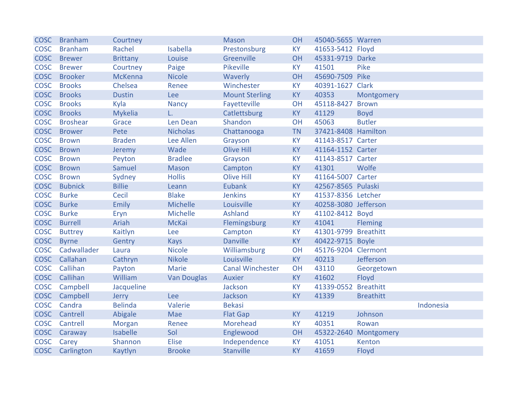| <b>COSC</b> | <b>Branham</b>  | Courtney        |                    | <b>Mason</b>            | OH        | 45040-5655 Warren    |                  |           |
|-------------|-----------------|-----------------|--------------------|-------------------------|-----------|----------------------|------------------|-----------|
| <b>COSC</b> | <b>Branham</b>  | Rachel          | Isabella           | Prestonsburg            | <b>KY</b> | 41653-5412 Floyd     |                  |           |
| <b>COSC</b> | <b>Brewer</b>   | <b>Brittany</b> | Louise             | Greenville              | OH        | 45331-9719 Darke     |                  |           |
| <b>COSC</b> | <b>Brewer</b>   | Courtney        | Paige              | Pikeville               | <b>KY</b> | 41501                | Pike             |           |
| <b>COSC</b> | <b>Brooker</b>  | <b>McKenna</b>  | <b>Nicole</b>      | Waverly                 | OH        | 45690-7509 Pike      |                  |           |
| <b>COSC</b> | <b>Brooks</b>   | Chelsea         | Renee              | Winchester              | <b>KY</b> | 40391-1627 Clark     |                  |           |
| <b>COSC</b> | <b>Brooks</b>   | <b>Dustin</b>   | Lee                | <b>Mount Sterling</b>   | KY        | 40353                | Montgomery       |           |
| <b>COSC</b> | <b>Brooks</b>   | Kyla            | <b>Nancy</b>       | Fayetteville            | OH        | 45118-8427           | <b>Brown</b>     |           |
| <b>COSC</b> | <b>Brooks</b>   | <b>Mykelia</b>  | L.                 | Catlettsburg            | KY        | 41129                | <b>Boyd</b>      |           |
| <b>COSC</b> | <b>Broshear</b> | Grace           | Len Dean           | Shandon                 | OH        | 45063                | <b>Butler</b>    |           |
| <b>COSC</b> | <b>Brower</b>   | Pete            | <b>Nicholas</b>    | Chattanooga             | <b>TN</b> | 37421-8408 Hamilton  |                  |           |
| <b>COSC</b> | <b>Brown</b>    | <b>Braden</b>   | Lee Allen          | Grayson                 | <b>KY</b> | 41143-8517 Carter    |                  |           |
| <b>COSC</b> | <b>Brown</b>    | Jeremy          | Wade               | <b>Olive Hill</b>       | KY        | 41164-1152 Carter    |                  |           |
| <b>COSC</b> | <b>Brown</b>    | Peyton          | <b>Bradlee</b>     | Grayson                 | <b>KY</b> | 41143-8517 Carter    |                  |           |
| <b>COSC</b> | <b>Brown</b>    | Samuel          | <b>Mason</b>       | Campton                 | <b>KY</b> | 41301                | Wolfe            |           |
| <b>COSC</b> | <b>Brown</b>    | Sydney          | <b>Hollis</b>      | <b>Olive Hill</b>       | <b>KY</b> | 41164-5007 Carter    |                  |           |
| <b>COSC</b> | <b>Bubnick</b>  | <b>Billie</b>   | Leann              | <b>Eubank</b>           | <b>KY</b> | 42567-8565 Pulaski   |                  |           |
| <b>COSC</b> | <b>Burke</b>    | Cecil           | <b>Blake</b>       | <b>Jenkins</b>          | <b>KY</b> | 41537-8356 Letcher   |                  |           |
| <b>COSC</b> | <b>Burke</b>    | Emily           | <b>Michelle</b>    | Louisville              | <b>KY</b> | 40258-3080 Jefferson |                  |           |
| <b>COSC</b> | <b>Burke</b>    | Eryn            | Michelle           | Ashland                 | <b>KY</b> | 41102-8412 Boyd      |                  |           |
| <b>COSC</b> | <b>Burrell</b>  | Ariah           | <b>McKai</b>       | Flemingsburg            | KY        | 41041                | <b>Fleming</b>   |           |
| <b>COSC</b> | <b>Buttrey</b>  | Kaitlyn         | Lee                | Campton                 | <b>KY</b> | 41301-9799 Breathitt |                  |           |
| <b>COSC</b> | <b>Byrne</b>    | Gentry          | <b>Kays</b>        | <b>Danville</b>         | KY        | 40422-9715 Boyle     |                  |           |
| <b>COSC</b> | Cadwallader     | Laura           | <b>Nicole</b>      | Williamsburg            | OH        | 45176-9204 Clermont  |                  |           |
| <b>COSC</b> | Callahan        | Cathryn         | <b>Nikole</b>      | Louisville              | <b>KY</b> | 40213                | Jefferson        |           |
| <b>COSC</b> | Callihan        | Payton          | <b>Marie</b>       | <b>Canal Winchester</b> | OH        | 43110                | Georgetown       |           |
| <b>COSC</b> | Callihan        | William         | <b>Van Douglas</b> | Auxier                  | KY        | 41602                | Floyd            |           |
| <b>COSC</b> | Campbell        | Jacqueline      |                    | Jackson                 | <b>KY</b> | 41339-0552 Breathitt |                  |           |
| <b>COSC</b> | Campbell        | Jerry           | Lee                | Jackson                 | <b>KY</b> | 41339                | <b>Breathitt</b> |           |
| <b>COSC</b> | Candra          | <b>Belinda</b>  | Valerie            | <b>Bekasi</b>           |           |                      |                  | Indonesia |
| <b>COSC</b> | Cantrell        | Abigale         | Mae                | <b>Flat Gap</b>         | <b>KY</b> | 41219                | Johnson          |           |
| <b>COSC</b> | Cantrell        | <b>Morgan</b>   | Renee              | Morehead                | <b>KY</b> | 40351                | Rowan            |           |
| <b>COSC</b> | Caraway         | Isabelle        | Sol                | Englewood               | OH        | 45322-2640           | Montgomery       |           |
| <b>COSC</b> | Carey           | Shannon         | <b>Elise</b>       | Independence            | <b>KY</b> | 41051                | Kenton           |           |
|             | COSC Carlington | Kaytlyn         | <b>Brooke</b>      | <b>Stanville</b>        | <b>KY</b> | 41659                | Floyd            |           |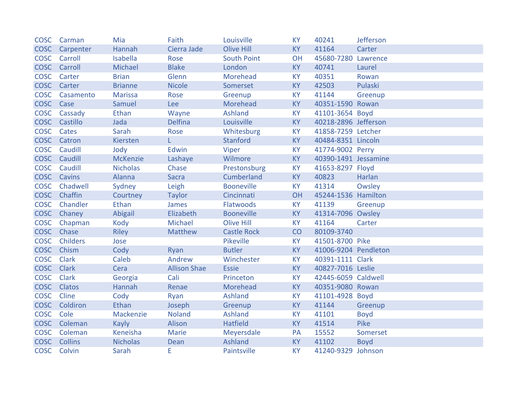| <b>COSC</b> | Carman                | Mia             | Faith               | Louisville         | <b>KY</b> | 40241                | Jefferson   |
|-------------|-----------------------|-----------------|---------------------|--------------------|-----------|----------------------|-------------|
| <b>COSC</b> | Carpenter             | Hannah          | Cierra Jade         | <b>Olive Hill</b>  | <b>KY</b> | 41164                | Carter      |
|             | <b>COSC</b> Carroll   | Isabella        | Rose                | <b>South Point</b> | OH        | 45680-7280 Lawrence  |             |
|             | <b>COSC</b> Carroll   | Michael         | <b>Blake</b>        | London             | <b>KY</b> | 40741                | Laurel      |
| <b>COSC</b> | Carter                | <b>Brian</b>    | Glenn               | Morehead           | <b>KY</b> | 40351                | Rowan       |
|             | COSC Carter           | <b>Brianne</b>  | <b>Nicole</b>       | Somerset           | <b>KY</b> | 42503                | Pulaski     |
|             | <b>COSC</b> Casamento | <b>Marissa</b>  | Rose                | Greenup            | <b>KY</b> | 41144                | Greenup     |
| <b>COSC</b> | Case                  | Samuel          | Lee                 | Morehead           | <b>KY</b> | 40351-1590 Rowan     |             |
| <b>COSC</b> | Cassady               | Ethan           | Wayne               | <b>Ashland</b>     | <b>KY</b> | 41101-3654 Boyd      |             |
|             | COSC Castillo         | Jada            | <b>Delfina</b>      | Louisville         | <b>KY</b> | 40218-2896 Jefferson |             |
| <b>COSC</b> | Cates                 | Sarah           | Rose                | Whitesburg         | <b>KY</b> | 41858-7259 Letcher   |             |
|             | COSC Catron           | Kiersten        |                     | <b>Stanford</b>    | <b>KY</b> | 40484-8351 Lincoln   |             |
| <b>COSC</b> | Caudill               | Jody            | Edwin               | <b>Viper</b>       | <b>KY</b> | 41774-9002 Perry     |             |
| <b>COSC</b> | Caudill               | <b>McKenzie</b> | Lashaye             | Wilmore            | <b>KY</b> | 40390-1491 Jessamine |             |
| <b>COSC</b> | Caudill               | <b>Nicholas</b> | Chase               | Prestonsburg       | <b>KY</b> | 41653-8297 Floyd     |             |
|             | <b>COSC</b> Cavins    | Alanna          | <b>Sacra</b>        | Cumberland         | <b>KY</b> | 40823                | Harlan      |
|             | COSC Chadwell         | Sydney          | Leigh               | <b>Booneville</b>  | <b>KY</b> | 41314                | Owsley      |
|             | COSC Chaffin          | Courtney        | <b>Taylor</b>       | Cincinnati         | OH        | 45244-1536 Hamilton  |             |
| <b>COSC</b> | Chandler              | Ethan           | James               | Flatwoods          | <b>KY</b> | 41139                | Greenup     |
|             | COSC Chaney           | Abigail         | Elizabeth           | <b>Booneville</b>  | <b>KY</b> | 41314-7096 Owsley    |             |
|             | COSC Chapman          | Kody            | Michael             | <b>Olive Hill</b>  | <b>KY</b> | 41164                | Carter      |
| <b>COSC</b> | Chase                 | <b>Riley</b>    | Matthew             | <b>Castle Rock</b> | CO        | 80109-3740           |             |
| <b>COSC</b> | <b>Childers</b>       | Jose            |                     | Pikeville          | <b>KY</b> | 41501-8700 Pike      |             |
|             | COSC Chism            | Cody            | Ryan                | <b>Butler</b>      | <b>KY</b> | 41006-9204 Pendleton |             |
| <b>COSC</b> | <b>Clark</b>          | Caleb           | Andrew              | Winchester         | <b>KY</b> | 40391-1111 Clark     |             |
| <b>COSC</b> | <b>Clark</b>          | Cera            | <b>Allison Shae</b> | <b>Essie</b>       | <b>KY</b> | 40827-7016 Leslie    |             |
| <b>COSC</b> | <b>Clark</b>          | Georgia         | Cali                | Princeton          | KY        | 42445-6059 Caldwell  |             |
| <b>COSC</b> | <b>Clatos</b>         | Hannah          | Renae               | Morehead           | <b>KY</b> | 40351-9080 Rowan     |             |
| <b>COSC</b> | Cline                 | Cody            | Ryan                | Ashland            | <b>KY</b> | 41101-4928 Boyd      |             |
| <b>COSC</b> | Coldiron              | Ethan           | Joseph              | Greenup            | <b>KY</b> | 41144                | Greenup     |
| <b>COSC</b> | Cole                  | Mackenzie       | <b>Noland</b>       | Ashland            | <b>KY</b> | 41101                | <b>Boyd</b> |
| <b>COSC</b> | Coleman               | <b>Kayly</b>    | Alison              | <b>Hatfield</b>    | <b>KY</b> | 41514                | Pike        |
| <b>COSC</b> | Coleman               | Keneisha        | Marie               | Meyersdale         | PA        | 15552                | Somerset    |
|             | COSC Collins          | <b>Nicholas</b> | Dean                | Ashland            | <b>KY</b> | 41102                | <b>Boyd</b> |
|             | COSC Colvin           | Sarah           | Е                   | Paintsville        | <b>KY</b> | 41240-9329 Johnson   |             |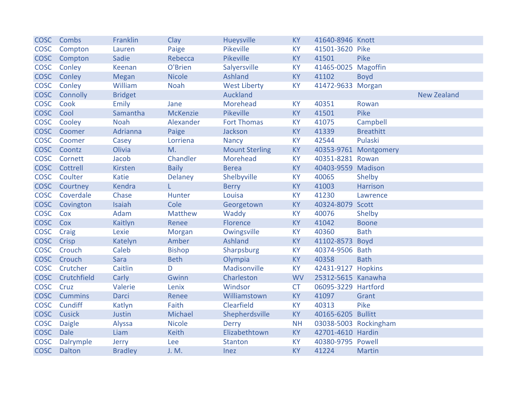|             | COSC Combs       | Franklin       | Clay            | Hueysville            | <b>KY</b> | 41640-8946 Knott      |                       |                    |
|-------------|------------------|----------------|-----------------|-----------------------|-----------|-----------------------|-----------------------|--------------------|
| <b>COSC</b> | Compton          | Lauren         | Paige           | Pikeville             | <b>KY</b> | 41501-3620 Pike       |                       |                    |
| <b>COSC</b> | Compton          | Sadie          | Rebecca         | Pikeville             | <b>KY</b> | 41501                 | Pike                  |                    |
| <b>COSC</b> | Conley           | Keenan         | O'Brien         | Salyersville          | <b>KY</b> | 41465-0025 Magoffin   |                       |                    |
| <b>COSC</b> | Conley           | <b>Megan</b>   | <b>Nicole</b>   | Ashland               | <b>KY</b> | 41102                 | <b>Boyd</b>           |                    |
| <b>COSC</b> | Conley           | William        | <b>Noah</b>     | <b>West Liberty</b>   | <b>KY</b> | 41472-9633 Morgan     |                       |                    |
| <b>COSC</b> | Connolly         | <b>Bridget</b> |                 | Auckland              |           |                       |                       | <b>New Zealand</b> |
| <b>COSC</b> | Cook             | Emily          | Jane            | Morehead              | <b>KY</b> | 40351                 | Rowan                 |                    |
| <b>COSC</b> | Cool             | Samantha       | <b>McKenzie</b> | Pikeville             | <b>KY</b> | 41501                 | Pike                  |                    |
| <b>COSC</b> | Cooley           | <b>Noah</b>    | Alexander       | <b>Fort Thomas</b>    | <b>KY</b> | 41075                 | Campbell              |                    |
| <b>COSC</b> | Coomer           | Adrianna       | Paige           | Jackson               | <b>KY</b> | 41339                 | <b>Breathitt</b>      |                    |
| <b>COSC</b> | Coomer           | Casey          | Lorriena        | <b>Nancy</b>          | KY        | 42544                 | Pulaski               |                    |
|             | COSC Coontz      | Olivia         | M.              | <b>Mount Sterling</b> | <b>KY</b> |                       | 40353-9761 Montgomery |                    |
| <b>COSC</b> | Cornett          | Jacob          | Chandler        | Morehead              | <b>KY</b> | 40351-8281 Rowan      |                       |                    |
| <b>COSC</b> | Cottrell         | Kirsten        | <b>Baily</b>    | <b>Berea</b>          | <b>KY</b> | 40403-9559 Madison    |                       |                    |
| <b>COSC</b> | Coulter          | <b>Katie</b>   | <b>Delaney</b>  | Shelbyville           | KY        | 40065                 | Shelby                |                    |
| <b>COSC</b> | Courtney         | Kendra         | L.              | <b>Berry</b>          | <b>KY</b> | 41003                 | <b>Harrison</b>       |                    |
| <b>COSC</b> | Coverdale        | Chase          | Hunter          | Louisa                | <b>KY</b> | 41230                 | Lawrence              |                    |
| <b>COSC</b> | Covington        | Isaiah         | Cole            | Georgetown            | <b>KY</b> | 40324-8079 Scott      |                       |                    |
| <b>COSC</b> | Cox              | Adam           | Matthew         | Waddy                 | <b>KY</b> | 40076                 | Shelby                |                    |
| <b>COSC</b> | Cox              | Kaitlyn        | Renee           | Florence              | <b>KY</b> | 41042                 | <b>Boone</b>          |                    |
| <b>COSC</b> | Craig            | Lexie          | Morgan          | Owingsville           | <b>KY</b> | 40360                 | <b>Bath</b>           |                    |
| <b>COSC</b> | Crisp            | Katelyn        | Amber           | <b>Ashland</b>        | <b>KY</b> | 41102-8573            | <b>Boyd</b>           |                    |
| <b>COSC</b> | Crouch           | Caleb          | <b>Bishop</b>   | Sharpsburg            | <b>KY</b> | 40374-9506 Bath       |                       |                    |
| <b>COSC</b> | Crouch           | Sara           | <b>Beth</b>     | Olympia               | <b>KY</b> | 40358                 | <b>Bath</b>           |                    |
| <b>COSC</b> | Crutcher         | Caitlin        | D               | Madisonville          | KY        | 42431-9127 Hopkins    |                       |                    |
|             | COSC Crutchfield | Carly          | Gwinn           | Charleston            | <b>WV</b> | 25312-5615 Kanawha    |                       |                    |
| <b>COSC</b> | Cruz             | Valerie        | Lenix           | Windsor               | <b>CT</b> | 06095-3229 Hartford   |                       |                    |
| <b>COSC</b> | <b>Cummins</b>   | <b>Darci</b>   | Renee           | Williamstown          | <b>KY</b> | 41097                 | Grant                 |                    |
| <b>COSC</b> | Cundiff          | Katlyn         | Faith           | Clearfield            | <b>KY</b> | 40313                 | Pike                  |                    |
| <b>COSC</b> | Cusick           | Justin         | Michael         | Shepherdsville        | <b>KY</b> | 40165-6205 Bullitt    |                       |                    |
| <b>COSC</b> | <b>Daigle</b>    | Alyssa         | <b>Nicole</b>   | <b>Derry</b>          | <b>NH</b> | 03038-5003 Rockingham |                       |                    |
| <b>COSC</b> | <b>Dale</b>      | Liam           | Keith           | Elizabethtown         | <b>KY</b> | 42701-4610 Hardin     |                       |                    |
| <b>COSC</b> | Dalrymple        | Jerry          | Lee             | <b>Stanton</b>        | KY        | 40380-9795 Powell     |                       |                    |
| <b>COSC</b> | <b>Dalton</b>    | <b>Bradley</b> | J. M.           | <b>Inez</b>           | <b>KY</b> | 41224                 | <b>Martin</b>         |                    |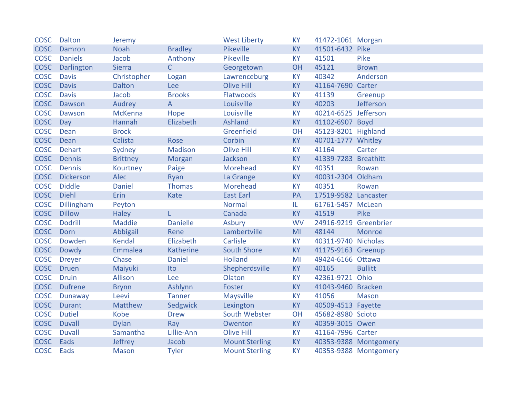| <b>COSC</b> | Dalton           | Jeremy          |                 | <b>West Liberty</b>   | <b>KY</b>      | 41472-1061 Morgan     |                       |
|-------------|------------------|-----------------|-----------------|-----------------------|----------------|-----------------------|-----------------------|
| <b>COSC</b> | Damron           | <b>Noah</b>     | <b>Bradley</b>  | Pikeville             | <b>KY</b>      | 41501-6432 Pike       |                       |
| <b>COSC</b> | <b>Daniels</b>   | Jacob           | Anthony         | Pikeville             | <b>KY</b>      | 41501                 | Pike                  |
| <b>COSC</b> | Darlington       | <b>Sierra</b>   | $\mathsf{C}$    | Georgetown            | OH             | 45121                 | <b>Brown</b>          |
| <b>COSC</b> | <b>Davis</b>     | Christopher     | Logan           | Lawrenceburg          | <b>KY</b>      | 40342                 | Anderson              |
| <b>COSC</b> | <b>Davis</b>     | <b>Dalton</b>   | Lee             | <b>Olive Hill</b>     | <b>KY</b>      | 41164-7690 Carter     |                       |
| <b>COSC</b> | <b>Davis</b>     | Jacob           | <b>Brooks</b>   | Flatwoods             | <b>KY</b>      | 41139                 | Greenup               |
| <b>COSC</b> | Dawson           | Audrey          | A               | Louisville            | <b>KY</b>      | 40203                 | Jefferson             |
| <b>COSC</b> | Dawson           | <b>McKenna</b>  | Hope            | Louisville            | <b>KY</b>      | 40214-6525 Jefferson  |                       |
| <b>COSC</b> | Day              | Hannah          | Elizabeth       | <b>Ashland</b>        | <b>KY</b>      | 41102-6907 Boyd       |                       |
| <b>COSC</b> | Dean             | <b>Brock</b>    |                 | Greenfield            | OH             | 45123-8201 Highland   |                       |
| <b>COSC</b> | Dean             | Calista         | Rose            | Corbin                | <b>KY</b>      | 40701-1777 Whitley    |                       |
| <b>COSC</b> | <b>Dehart</b>    | Sydney          | <b>Madison</b>  | <b>Olive Hill</b>     | <b>KY</b>      | 41164                 | Carter                |
| <b>COSC</b> | Dennis           | <b>Brittney</b> | Morgan          | Jackson               | <b>KY</b>      | 41339-7283 Breathitt  |                       |
| <b>COSC</b> | Dennis           | Kourtney        | Paige           | Morehead              | <b>KY</b>      | 40351                 | Rowan                 |
| <b>COSC</b> | <b>Dickerson</b> | Alec            | Ryan            | La Grange             | <b>KY</b>      | 40031-2304 Oldham     |                       |
| <b>COSC</b> | <b>Diddle</b>    | <b>Daniel</b>   | <b>Thomas</b>   | Morehead              | <b>KY</b>      | 40351                 | Rowan                 |
| <b>COSC</b> | <b>Diehl</b>     | Erin            | Kate            | <b>East Earl</b>      | PA             | 17519-9582 Lancaster  |                       |
| <b>COSC</b> | Dillingham       | Peyton          |                 | <b>Normal</b>         | IL.            | 61761-5457 McLean     |                       |
| <b>COSC</b> | <b>Dillow</b>    | <b>Haley</b>    | L.              | Canada                | <b>KY</b>      | 41519                 | Pike                  |
| <b>COSC</b> | <b>Dodrill</b>   | <b>Maddie</b>   | <b>Danielle</b> | Asbury                | <b>WV</b>      | 24916-9219 Greenbrier |                       |
| <b>COSC</b> | Dorn             | Abbigail        | Rene            | Lambertville          | M <sub>l</sub> | 48144                 | Monroe                |
| <b>COSC</b> | Dowden           | <b>Kendal</b>   | Elizabeth       | Carlisle              | <b>KY</b>      | 40311-9740 Nicholas   |                       |
| <b>COSC</b> | Dowdy            | Emmalea         | Katherine       | <b>South Shore</b>    | KY             | 41175-9163 Greenup    |                       |
| <b>COSC</b> | <b>Dreyer</b>    | Chase           | <b>Daniel</b>   | <b>Holland</b>        | MI             | 49424-6166 Ottawa     |                       |
| <b>COSC</b> | <b>Druen</b>     | Maiyuki         | Ito             | Shepherdsville        | <b>KY</b>      | 40165                 | <b>Bullitt</b>        |
| <b>COSC</b> | <b>Druin</b>     | Allison         | Lee             | Olaton                | <b>KY</b>      | 42361-9721 Ohio       |                       |
| <b>COSC</b> | <b>Dufrene</b>   | <b>Brynn</b>    | Ashlynn         | Foster                | <b>KY</b>      | 41043-9460 Bracken    |                       |
| <b>COSC</b> | Dunaway          | Leevi           | <b>Tanner</b>   | Maysville             | <b>KY</b>      | 41056                 | <b>Mason</b>          |
| <b>COSC</b> | <b>Durant</b>    | Matthew         | Sedgwick        | Lexington             | <b>KY</b>      | 40509-4513 Fayette    |                       |
| <b>COSC</b> | <b>Dutiel</b>    | Kobe            | <b>Drew</b>     | South Webster         | OH             | 45682-8980 Scioto     |                       |
| <b>COSC</b> | <b>Duvall</b>    | <b>Dylan</b>    | Ray             | Owenton               | <b>KY</b>      | 40359-3015 Owen       |                       |
| <b>COSC</b> | <b>Duvall</b>    | Samantha        | Lillie-Ann      | <b>Olive Hill</b>     | <b>KY</b>      | 41164-7996 Carter     |                       |
| <b>COSC</b> | Eads             | Jeffrey         | Jacob           | <b>Mount Sterling</b> | <b>KY</b>      |                       | 40353-9388 Montgomery |
| <b>COSC</b> | Eads             | <b>Mason</b>    | <b>Tyler</b>    | <b>Mount Sterling</b> | <b>KY</b>      |                       | 40353-9388 Montgomery |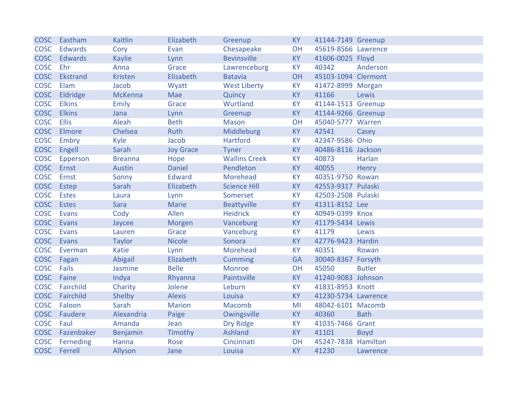| <b>COSC</b> | Eastham         | <b>Kaitlin</b> | Elizabeth        | Greenup              | <b>KY</b> | 41144-7149 Greenup  |               |
|-------------|-----------------|----------------|------------------|----------------------|-----------|---------------------|---------------|
| <b>COSC</b> | <b>Edwards</b>  | Cory           | Evan             | Chesapeake           | OH        | 45619-8566 Lawrence |               |
| <b>COSC</b> | <b>Edwards</b>  | <b>Kaylie</b>  | Lynn             | <b>Bevinsville</b>   | <b>KY</b> | 41606-0025 Floyd    |               |
| <b>COSC</b> | Ehr             | Anna           | Grace            | Lawrenceburg         | <b>KY</b> | 40342               | Anderson      |
| <b>COSC</b> | <b>Ekstrand</b> | <b>Kristen</b> | Elisabeth        | <b>Batavia</b>       | OH        | 45103-1094 Clermont |               |
| <b>COSC</b> | Elam            | Jacob          | Wyatt            | <b>West Liberty</b>  | KY        | 41472-8999 Morgan   |               |
| <b>COSC</b> | Eldridge        | <b>McKenna</b> | Mae              | Quincy               | <b>KY</b> | 41166               | Lewis         |
| <b>COSC</b> | <b>Elkins</b>   | <b>Emily</b>   | Grace            | Wurtland             | <b>KY</b> | 41144-1513 Greenup  |               |
| <b>COSC</b> | <b>Elkins</b>   | Jana           | Lynn             | Greenup              | KY        | 41144-9266 Greenup  |               |
| <b>COSC</b> | <b>Ellis</b>    | Aleah          | <b>Beth</b>      | <b>Mason</b>         | OH        | 45040-5777 Warren   |               |
| <b>COSC</b> | Elmore          | Chelsea        | Ruth             | Middleburg           | KY        | 42541               | Casey         |
| <b>COSC</b> | Embry           | Kyle           | Jacob            | <b>Hartford</b>      | <b>KY</b> | 42347-9586 Ohio     |               |
| <b>COSC</b> | Engell          | Sarah          | <b>Joy Grace</b> | <b>Tyner</b>         | <b>KY</b> | 40486-8116 Jackson  |               |
| <b>COSC</b> | Epperson        | <b>Breanna</b> | Hope             | <b>Wallins Creek</b> | <b>KY</b> | 40873               | Harlan        |
| <b>COSC</b> | Ernst           | Austin         | <b>Daniel</b>    | Pendleton            | <b>KY</b> | 40055               | Henry         |
| <b>COSC</b> | Ernst           | Sonny          | <b>Edward</b>    | Morehead             | <b>KY</b> | 40351-9750 Rowan    |               |
| <b>COSC</b> | Estep           | Sarah          | Elizabeth        | <b>Science Hill</b>  | <b>KY</b> | 42553-9317 Pulaski  |               |
| <b>COSC</b> | <b>Estes</b>    | Laura          | Lynn             | Somerset             | <b>KY</b> | 42503-2508 Pulaski  |               |
| <b>COSC</b> | <b>Estes</b>    | Sara           | Marie            | Beattyville          | <b>KY</b> | 41311-8152 Lee      |               |
| <b>COSC</b> | Evans           | Cody           | Allen            | <b>Heidrick</b>      | <b>KY</b> | 40949-0399 Knox     |               |
| <b>COSC</b> | Evans           | Jaycee         | Morgen           | Vanceburg            | KY        | 41179-5434 Lewis    |               |
| <b>COSC</b> | Evans           | Lauren         | Grace            | Vanceburg            | <b>KY</b> | 41179               | Lewis         |
| <b>COSC</b> | Evans           | <b>Taylor</b>  | <b>Nicole</b>    | Sonora               | <b>KY</b> | 42776-9423 Hardin   |               |
| <b>COSC</b> | Everman         | <b>Katie</b>   | Lynn             | Morehead             | <b>KY</b> | 40351               | Rowan         |
| <b>COSC</b> | Fagan           | Abigail        | Elizabeth        | Cumming              | <b>GA</b> | 30040-8367 Forsyth  |               |
| <b>COSC</b> | Fails           | Jasmine        | <b>Belle</b>     | <b>Monroe</b>        | <b>OH</b> | 45050               | <b>Butler</b> |
| <b>COSC</b> | Faine           | Indya          | Rhyanna          | Paintsville          | <b>KY</b> | 41240-9083 Johnson  |               |
| <b>COSC</b> | Fairchild       | Charity        | Jolene           | Leburn               | <b>KY</b> | 41831-8953 Knott    |               |
| <b>COSC</b> | Fairchild       | <b>Shelby</b>  | <b>Alexis</b>    | Louisa               | <b>KY</b> | 41230-5734 Lawrence |               |
| <b>COSC</b> | Faloon          | Sarah          | <b>Marion</b>    | Macomb               | MI        | 48042-6101 Macomb   |               |
| <b>COSC</b> | Faudere         | Alexandria     | Paige            | Owingsville          | <b>KY</b> | 40360               | <b>Bath</b>   |
| <b>COSC</b> | Faul            | Amanda         | Jean             | <b>Dry Ridge</b>     | <b>KY</b> | 41035-7466 Grant    |               |
| <b>COSC</b> | Fazenbaker      | Benjamin       | Timothy          | Ashland              | <b>KY</b> | 41101               | <b>Boyd</b>   |
| <b>COSC</b> | Ferneding       | Hanna          | Rose             | Cincinnati           | OH        | 45247-7838 Hamilton |               |
| <b>COSC</b> | Ferrell         | Allyson        | Jane             | Louisa               | <b>KY</b> | 41230               | Lawrence      |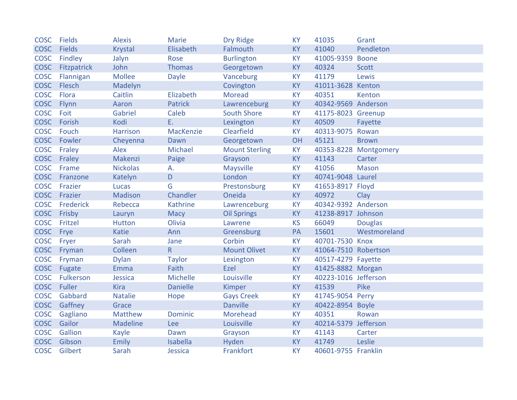| <b>COSC</b> | Fields        | <b>Alexis</b>   | <b>Marie</b>    | <b>Dry Ridge</b>      | <b>KY</b> | 41035                | Grant                 |
|-------------|---------------|-----------------|-----------------|-----------------------|-----------|----------------------|-----------------------|
| <b>COSC</b> | <b>Fields</b> | <b>Krystal</b>  | Elisabeth       | Falmouth              | <b>KY</b> | 41040                | Pendleton             |
| <b>COSC</b> | Findley       | Jalyn           | Rose            | <b>Burlington</b>     | <b>KY</b> | 41005-9359           | <b>Boone</b>          |
| <b>COSC</b> | Fitzpatrick   | John            | <b>Thomas</b>   | Georgetown            | <b>KY</b> | 40324                | <b>Scott</b>          |
| <b>COSC</b> | Flannigan     | <b>Mollee</b>   | <b>Dayle</b>    | Vanceburg             | <b>KY</b> | 41179                | Lewis                 |
| <b>COSC</b> | Flesch        | Madelyn         |                 | Covington             | KY        | 41011-3628 Kenton    |                       |
| <b>COSC</b> | Flora         | Caitlin         | Elizabeth       | Moread                | <b>KY</b> | 40351                | Kenton                |
| <b>COSC</b> | Flynn         | Aaron           | <b>Patrick</b>  | Lawrenceburg          | <b>KY</b> | 40342-9569 Anderson  |                       |
| <b>COSC</b> | Foit          | Gabriel         | Caleb           | <b>South Shore</b>    | <b>KY</b> | 41175-8023 Greenup   |                       |
| <b>COSC</b> | Forish        | Kodi            | E.              | Lexington             | <b>KY</b> | 40509                | Fayette               |
| <b>COSC</b> | Fouch         | <b>Harrison</b> | MacKenzie       | Clearfield            | <b>KY</b> | 40313-9075           | Rowan                 |
| <b>COSC</b> | Fowler        | Cheyenna        | Dawn            | Georgetown            | OH        | 45121                | <b>Brown</b>          |
| <b>COSC</b> | Fraley        | Alex            | Michael         | <b>Mount Sterling</b> | <b>KY</b> |                      | 40353-8228 Montgomery |
| <b>COSC</b> | Fraley        | Makenzi         | Paige           | Grayson               | <b>KY</b> | 41143                | Carter                |
| <b>COSC</b> | Frame         | <b>Nickolas</b> | А.              | <b>Maysville</b>      | <b>KY</b> | 41056                | <b>Mason</b>          |
| <b>COSC</b> | Franzone      | Katelyn         | $\mathsf{D}$    | London                | <b>KY</b> | 40741-9048 Laurel    |                       |
| <b>COSC</b> | Frazier       | Lucas           | G               | Prestonsburg          | <b>KY</b> | 41653-8917 Floyd     |                       |
| <b>COSC</b> | Frazier       | <b>Madison</b>  | Chandler        | Oneida                | <b>KY</b> | 40972                | Clay                  |
| <b>COSC</b> | Frederick     | Rebecca         | Kathrine        | Lawrenceburg          | KY        | 40342-9392 Anderson  |                       |
| <b>COSC</b> | Frisby        | Lauryn          | Macy            | <b>Oil Springs</b>    | KY        | 41238-8917 Johnson   |                       |
| <b>COSC</b> | Fritzel       | <b>Hutton</b>   | Olivia          | Lawrene               | <b>KS</b> | 66049                | <b>Douglas</b>        |
| <b>COSC</b> | Frye          | Katie           | Ann             | Greensburg            | PA        | 15601                | Westmoreland          |
| <b>COSC</b> | Fryer         | Sarah           | Jane            | Corbin                | KY        | 40701-7530 Knox      |                       |
| <b>COSC</b> | Fryman        | Colleen         | $\mathsf{R}$    | <b>Mount Olivet</b>   | <b>KY</b> | 41064-7510 Robertson |                       |
| <b>COSC</b> | Fryman        | <b>Dylan</b>    | <b>Taylor</b>   | Lexington             | <b>KY</b> | 40517-4279 Fayette   |                       |
| <b>COSC</b> | Fugate        | Emma            | Faith           | Ezel                  | <b>KY</b> | 41425-8882 Morgan    |                       |
| <b>COSC</b> | Fulkerson     | Jessica         | Michelle        | Louisville            | KY        | 40223-1016 Jefferson |                       |
| <b>COSC</b> | Fuller        | <b>Kira</b>     | <b>Danielle</b> | Kimper                | <b>KY</b> | 41539                | Pike                  |
| <b>COSC</b> | Gabbard       | <b>Natalie</b>  | Hope            | <b>Gays Creek</b>     | <b>KY</b> | 41745-9054 Perry     |                       |
| <b>COSC</b> | Gaffney       | Grace           |                 | <b>Danville</b>       | <b>KY</b> | 40422-8954 Boyle     |                       |
| <b>COSC</b> | Gagliano      | Matthew         | Dominic         | Morehead              | <b>KY</b> | 40351                | Rowan                 |
| <b>COSC</b> | Gailor        | <b>Madeline</b> | Lee             | Louisville            | <b>KY</b> | 40214-5379           | Jefferson             |
| <b>COSC</b> | Gallion       | Kayle           | Dawn            | Grayson               | <b>KY</b> | 41143                | Carter                |
| <b>COSC</b> | Gibson        | <b>Emily</b>    | Isabella        | Hyden                 | KY        | 41749                | Leslie                |
| <b>COSC</b> | Gilbert       | Sarah           | Jessica         | Frankfort             | <b>KY</b> | 40601-9755 Franklin  |                       |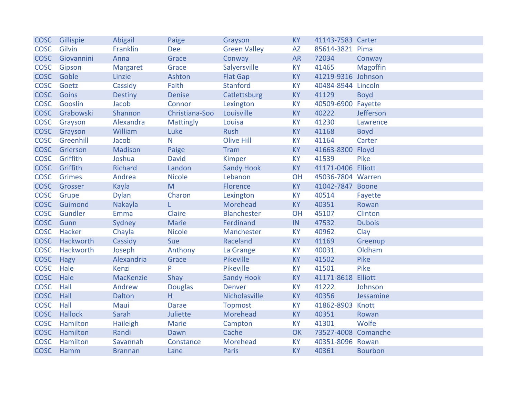| <b>COSC</b> | Gillispie      | Abigail        | Paige            | Grayson             | <b>KY</b>  | 41143-7583 Carter   |                 |
|-------------|----------------|----------------|------------------|---------------------|------------|---------------------|-----------------|
| <b>COSC</b> | Gilvin         | Franklin       | <b>Dee</b>       | <b>Green Valley</b> | <b>AZ</b>  | 85614-3821 Pima     |                 |
| <b>COSC</b> | Giovannini     | Anna           | Grace            | Conway              | <b>AR</b>  | 72034               | Conway          |
| <b>COSC</b> | Gipson         | Margaret       | Grace            | Salyersville        | <b>KY</b>  | 41465               | <b>Magoffin</b> |
| <b>COSC</b> | Goble          | Linzie         | Ashton           | <b>Flat Gap</b>     | KY         | 41219-9316 Johnson  |                 |
| <b>COSC</b> | Goetz          | Cassidy        | Faith            | <b>Stanford</b>     | <b>KY</b>  | 40484-8944 Lincoln  |                 |
| <b>COSC</b> | Goins          | <b>Destiny</b> | <b>Denise</b>    | Catlettsburg        | <b>KY</b>  | 41129               | <b>Boyd</b>     |
| <b>COSC</b> | Gooslin        | Jacob          | Connor           | Lexington           | KY         | 40509-6900          | Fayette         |
| <b>COSC</b> | Grabowski      | Shannon        | Christiana-Soo   | Louisville          | <b>KY</b>  | 40222               | Jefferson       |
| <b>COSC</b> | Grayson        | Alexandra      | <b>Mattingly</b> | Louisa              | <b>KY</b>  | 41230               | Lawrence        |
| <b>COSC</b> | Grayson        | William        | Luke             | <b>Rush</b>         | KY         | 41168               | <b>Boyd</b>     |
| <b>COSC</b> | Greenhill      | Jacob          | N                | <b>Olive Hill</b>   | <b>KY</b>  | 41164               | Carter          |
| <b>COSC</b> | Grierson       | <b>Madison</b> | Paige            | <b>Tram</b>         | KY         | 41663-8300 Floyd    |                 |
| <b>COSC</b> | Griffith       | Joshua         | <b>David</b>     | Kimper              | <b>KY</b>  | 41539               | Pike            |
| <b>COSC</b> | Griffith       | <b>Richard</b> | Landon           | <b>Sandy Hook</b>   | <b>KY</b>  | 41171-0406 Elliott  |                 |
| <b>COSC</b> | Grimes         | Andrea         | <b>Nicole</b>    | Lebanon             | OH         | 45036-7804 Warren   |                 |
| <b>COSC</b> | Grosser        | Kayla          | M                | Florence            | <b>KY</b>  | 41042-7847 Boone    |                 |
| <b>COSC</b> | Grupe          | <b>Dylan</b>   | Charon           | Lexington           | <b>KY</b>  | 40514               | Fayette         |
| <b>COSC</b> | Guimond        | Nakayla        | L                | Morehead            | <b>KY</b>  | 40351               | Rowan           |
| <b>COSC</b> | Gundler        | Emma           | Claire           | <b>Blanchester</b>  | OH         | 45107               | Clinton         |
| <b>COSC</b> | Gunn           | Sydney         | Marie            | Ferdinand           | ${\sf IN}$ | 47532               | <b>Dubois</b>   |
| <b>COSC</b> | Hacker         | Chayla         | <b>Nicole</b>    | Manchester          | KY         | 40962               | Clay            |
| <b>COSC</b> | Hackworth      | Cassidy        | Sue              | Raceland            | <b>KY</b>  | 41169               | Greenup         |
| <b>COSC</b> | Hackworth      | Joseph         | Anthony          | La Grange           | KY         | 40031               | Oldham          |
| <b>COSC</b> | <b>Hagy</b>    | Alexandria     | Grace            | Pikeville           | <b>KY</b>  | 41502               | Pike            |
| <b>COSC</b> | Hale           | <b>Kenzi</b>   | P                | Pikeville           | <b>KY</b>  | 41501               | Pike            |
| <b>COSC</b> | Hale           | MacKenzie      | Shay             | <b>Sandy Hook</b>   | <b>KY</b>  | 41171-8618          | Elliott         |
| <b>COSC</b> | Hall           | Andrew         | <b>Douglas</b>   | <b>Denver</b>       | KY         | 41222               | Johnson         |
| <b>COSC</b> | Hall           | Dalton         | H                | Nicholasville       | <b>KY</b>  | 40356               | Jessamine       |
| <b>COSC</b> | Hall           | Maui           | <b>Darae</b>     | <b>Topmost</b>      | KY         | 41862-8903          | Knott           |
| <b>COSC</b> | <b>Hallock</b> | Sarah          | Juliette         | Morehead            | <b>KY</b>  | 40351               | Rowan           |
| <b>COSC</b> | Hamilton       | Haileigh       | <b>Marie</b>     | Campton             | <b>KY</b>  | 41301               | Wolfe           |
| <b>COSC</b> | Hamilton       | Randi          | Dawn             | Cache               | OK         | 73527-4008 Comanche |                 |
| <b>COSC</b> | Hamilton       | Savannah       | Constance        | Morehead            | KY         | 40351-8096 Rowan    |                 |
| <b>COSC</b> | Hamm           | <b>Brannan</b> | Lane             | <b>Paris</b>        | <b>KY</b>  | 40361               | <b>Bourbon</b>  |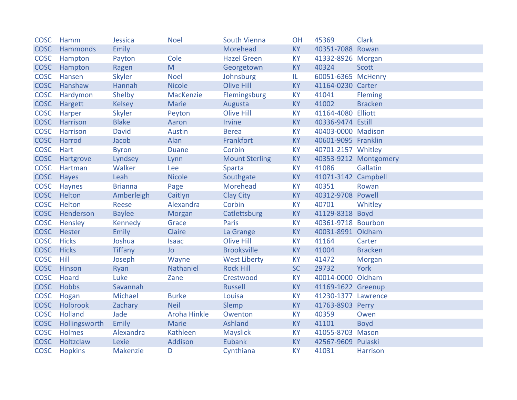| <b>COSC</b> | Hamm           | Jessica         | <b>Noel</b>         | South Vienna          | OH        | 45369               | <b>Clark</b>          |
|-------------|----------------|-----------------|---------------------|-----------------------|-----------|---------------------|-----------------------|
| <b>COSC</b> | Hammonds       | <b>Emily</b>    |                     | Morehead              | <b>KY</b> | 40351-7088 Rowan    |                       |
| <b>COSC</b> | Hampton        | Payton          | Cole                | <b>Hazel Green</b>    | <b>KY</b> | 41332-8926 Morgan   |                       |
| <b>COSC</b> | Hampton        | Ragen           | M                   | Georgetown            | <b>KY</b> | 40324               | <b>Scott</b>          |
| <b>COSC</b> | Hansen         | <b>Skyler</b>   | <b>Noel</b>         | Johnsburg             | IL.       | 60051-6365 McHenry  |                       |
| <b>COSC</b> | Hanshaw        | Hannah          | <b>Nicole</b>       | <b>Olive Hill</b>     | <b>KY</b> | 41164-0230 Carter   |                       |
| <b>COSC</b> | Hardymon       | Shelby          | MacKenzie           | Flemingsburg          | <b>KY</b> | 41041               | <b>Fleming</b>        |
| <b>COSC</b> | Hargett        | <b>Kelsey</b>   | <b>Marie</b>        | Augusta               | <b>KY</b> | 41002               | <b>Bracken</b>        |
| <b>COSC</b> | Harper         | <b>Skyler</b>   | Peyton              | <b>Olive Hill</b>     | <b>KY</b> | 41164-4080 Elliott  |                       |
| <b>COSC</b> | Harrison       | <b>Blake</b>    | Aaron               | <b>Irvine</b>         | <b>KY</b> | 40336-9474 Estill   |                       |
| <b>COSC</b> | Harrison       | <b>David</b>    | <b>Austin</b>       | <b>Berea</b>          | <b>KY</b> | 40403-0000 Madison  |                       |
| <b>COSC</b> | Harrod         | Jacob           | Alan                | Frankfort             | <b>KY</b> | 40601-9095 Franklin |                       |
| <b>COSC</b> | Hart           | <b>Byron</b>    | <b>Duane</b>        | Corbin                | <b>KY</b> | 40701-2157 Whitley  |                       |
| <b>COSC</b> | Hartgrove      | Lyndsey         | Lynn                | <b>Mount Sterling</b> | KY        |                     | 40353-9212 Montgomery |
| <b>COSC</b> | Hartman        | Walker          | Lee                 | Sparta                | <b>KY</b> | 41086               | Gallatin              |
| <b>COSC</b> | Hayes          | Leah            | <b>Nicole</b>       | Southgate             | <b>KY</b> | 41071-3142 Campbell |                       |
| <b>COSC</b> | Haynes         | <b>Brianna</b>  | Page                | Morehead              | <b>KY</b> | 40351               | Rowan                 |
| <b>COSC</b> | Helton         | Amberleigh      | Caitlyn             | <b>Clay City</b>      | <b>KY</b> | 40312-9708 Powell   |                       |
| <b>COSC</b> | Helton         | Reese           | Alexandra           | Corbin                | <b>KY</b> | 40701               | Whitley               |
| <b>COSC</b> | Henderson      | <b>Baylee</b>   | Morgan              | Catlettsburg          | <b>KY</b> | 41129-8318 Boyd     |                       |
| <b>COSC</b> | Hensley        | Kennedy         | Grace               | Paris                 | <b>KY</b> | 40361-9718 Bourbon  |                       |
| <b>COSC</b> | Hester         | <b>Emily</b>    | Claire              | La Grange             | KY        | 40031-8991 Oldham   |                       |
| <b>COSC</b> | <b>Hicks</b>   | Joshua          | <b>Isaac</b>        | <b>Olive Hill</b>     | <b>KY</b> | 41164               | Carter                |
| <b>COSC</b> | <b>Hicks</b>   | <b>Tiffany</b>  | Jo                  | <b>Brooksville</b>    | KY        | 41004               | <b>Bracken</b>        |
| <b>COSC</b> | Hill           | Joseph          | Wayne               | <b>West Liberty</b>   | <b>KY</b> | 41472               | <b>Morgan</b>         |
| <b>COSC</b> | Hinson         | Ryan            | Nathaniel           | <b>Rock Hill</b>      | <b>SC</b> | 29732               | <b>York</b>           |
| <b>COSC</b> | Hoard          | Luke            | Zane                | Crestwood             | <b>KY</b> | 40014-0000 Oldham   |                       |
| <b>COSC</b> | <b>Hobbs</b>   | Savannah        |                     | <b>Russell</b>        | <b>KY</b> | 41169-1622 Greenup  |                       |
| <b>COSC</b> | Hogan          | Michael         | <b>Burke</b>        | Louisa                | <b>KY</b> | 41230-1377 Lawrence |                       |
| <b>COSC</b> | Holbrook       | Zachary         | <b>Neil</b>         | Slemp                 | <b>KY</b> | 41763-8903 Perry    |                       |
| <b>COSC</b> | <b>Holland</b> | Jade            | <b>Aroha Hinkle</b> | Owenton               | <b>KY</b> | 40359               | Owen                  |
| <b>COSC</b> | Hollingsworth  | <b>Emily</b>    | Marie               | Ashland               | <b>KY</b> | 41101               | <b>Boyd</b>           |
| <b>COSC</b> | <b>Holmes</b>  | Alexandra       | Kathleen            | <b>Mayslick</b>       | <b>KY</b> | 41055-8703 Mason    |                       |
| <b>COSC</b> | Holtzclaw      | Lexie           | Addison             | <b>Eubank</b>         | KY        | 42567-9609 Pulaski  |                       |
| <b>COSC</b> | <b>Hopkins</b> | <b>Makenzie</b> | D                   | Cynthiana             | <b>KY</b> | 41031               | <b>Harrison</b>       |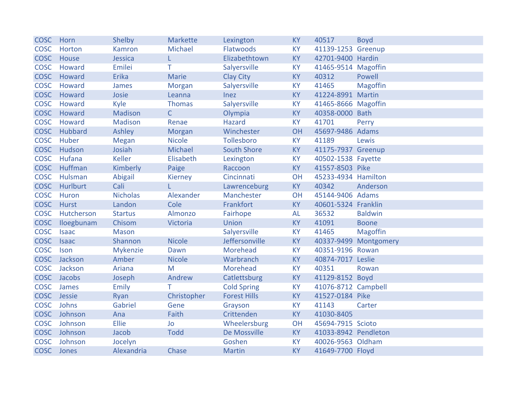| <b>COSC</b> | Horn         | Shelby          | Markette      | Lexington           | <b>KY</b> | 40517                | <b>Boyd</b>           |
|-------------|--------------|-----------------|---------------|---------------------|-----------|----------------------|-----------------------|
| <b>COSC</b> | Horton       | Kamron          | Michael       | Flatwoods           | <b>KY</b> | 41139-1253 Greenup   |                       |
| <b>COSC</b> | House        | Jessica         | L.            | Elizabethtown       | <b>KY</b> | 42701-9400 Hardin    |                       |
| <b>COSC</b> | Howard       | Emilei          | Τ             | Salyersville        | <b>KY</b> | 41465-9514 Magoffin  |                       |
| <b>COSC</b> | Howard       | <b>Erika</b>    | Marie         | <b>Clay City</b>    | <b>KY</b> | 40312                | Powell                |
| <b>COSC</b> | Howard       | James           | <b>Morgan</b> | Salyersville        | <b>KY</b> | 41465                | <b>Magoffin</b>       |
| <b>COSC</b> | Howard       | Josie           | Leanna        | Inez                | <b>KY</b> | 41224-8991 Martin    |                       |
| <b>COSC</b> | Howard       | Kyle            | <b>Thomas</b> | Salyersville        | <b>KY</b> | 41465-8666 Magoffin  |                       |
| <b>COSC</b> | Howard       | <b>Madison</b>  | $\mathsf{C}$  | Olympia             | KY        | 40358-0000 Bath      |                       |
| <b>COSC</b> | Howard       | <b>Madison</b>  | Renae         | <b>Hazard</b>       | <b>KY</b> | 41701                | Perry                 |
| <b>COSC</b> | Hubbard      | Ashley          | Morgan        | Winchester          | OH        | 45697-9486 Adams     |                       |
| <b>COSC</b> | Huber        | <b>Megan</b>    | <b>Nicole</b> | Tollesboro          | <b>KY</b> | 41189                | Lewis                 |
| <b>COSC</b> | Hudson       | Josiah          | Michael       | <b>South Shore</b>  | <b>KY</b> | 41175-7937 Greenup   |                       |
| <b>COSC</b> | Hufana       | <b>Keller</b>   | Elisabeth     | Lexington           | <b>KY</b> | 40502-1538 Fayette   |                       |
| <b>COSC</b> | Huffman      | Kimberly        | Paige         | Raccoon             | <b>KY</b> | 41557-8503 Pike      |                       |
| <b>COSC</b> | Hulsman      | Abigail         | Kierney       | Cincinnati          | OH        | 45233-4934 Hamilton  |                       |
| <b>COSC</b> | Hurlburt     | Cali            |               | Lawrenceburg        | <b>KY</b> | 40342                | Anderson              |
| <b>COSC</b> | Huron        | <b>Nicholas</b> | Alexander     | Manchester          | OH        | 45144-9406 Adams     |                       |
| <b>COSC</b> | Hurst        | Landon          | Cole          | Frankfort           | <b>KY</b> | 40601-5324 Franklin  |                       |
| <b>COSC</b> | Hutcherson   | <b>Startus</b>  | Almonzo       | Fairhope            | <b>AL</b> | 36532                | <b>Baldwin</b>        |
| <b>COSC</b> | Iloegbunam   | Chisom          | Victoria      | Union               | KY        | 41091                | <b>Boone</b>          |
| <b>COSC</b> | <b>Isaac</b> | <b>Mason</b>    |               | Salyersville        | <b>KY</b> | 41465                | <b>Magoffin</b>       |
| <b>COSC</b> | <b>Isaac</b> | Shannon         | <b>Nicole</b> | Jeffersonville      | <b>KY</b> |                      | 40337-9499 Montgomery |
| <b>COSC</b> | Ison         | Mykenzie        | Dawn          | Morehead            | KY        | 40351-9196 Rowan     |                       |
| <b>COSC</b> | Jackson      | Amber           | <b>Nicole</b> | Warbranch           | <b>KY</b> | 40874-7017 Leslie    |                       |
| <b>COSC</b> | Jackson      | Ariana          | M             | Morehead            | KY        | 40351                | Rowan                 |
|             | COSC Jacobs  | Joseph          | Andrew        | Catlettsburg        | <b>KY</b> | 41129-8152 Boyd      |                       |
| <b>COSC</b> | James        | <b>Emily</b>    | T.            | <b>Cold Spring</b>  | <b>KY</b> | 41076-8712 Campbell  |                       |
| <b>COSC</b> | Jessie       | Ryan            | Christopher   | <b>Forest Hills</b> | <b>KY</b> | 41527-0184 Pike      |                       |
| <b>COSC</b> | Johns        | Gabriel         | Gene          | Grayson             | KY        | 41143                | Carter                |
| <b>COSC</b> | Johnson      | Ana             | Faith         | Crittenden          | <b>KY</b> | 41030-8405           |                       |
| <b>COSC</b> | Johnson      | Ellie           | Jo            | Wheelersburg        | OH        | 45694-7915 Scioto    |                       |
| <b>COSC</b> | Johnson      | Jacob           | <b>Todd</b>   | De Mossville        | <b>KY</b> | 41033-8942 Pendleton |                       |
| <b>COSC</b> | Johnson      | Jocelyn         |               | Goshen              | <b>KY</b> | 40026-9563 Oldham    |                       |
| <b>COSC</b> | Jones        | Alexandria      | Chase         | <b>Martin</b>       | <b>KY</b> | 41649-7700 Floyd     |                       |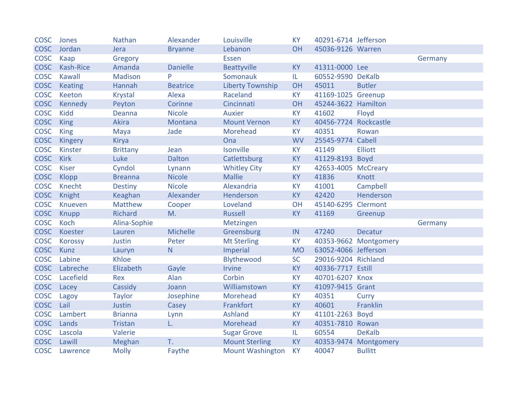| <b>COSC</b> | Jones            | <b>Nathan</b>   | Alexander       | Louisville              | <b>KY</b> | 40291-6714 Jefferson |                       |         |
|-------------|------------------|-----------------|-----------------|-------------------------|-----------|----------------------|-----------------------|---------|
| <b>COSC</b> | Jordan           | Jera            | <b>Bryanne</b>  | Lebanon                 | OH        | 45036-9126 Warren    |                       |         |
| <b>COSC</b> | Kaap             | Gregory         |                 | <b>Essen</b>            |           |                      |                       | Germany |
| <b>COSC</b> | <b>Kash-Rice</b> | Amanda          | <b>Danielle</b> | <b>Beattyville</b>      | <b>KY</b> | 41311-0000 Lee       |                       |         |
| <b>COSC</b> | <b>Kawall</b>    | <b>Madison</b>  | P               | Somonauk                | IL.       | 60552-9590 DeKalb    |                       |         |
| <b>COSC</b> | Keating          | Hannah          | <b>Beatrice</b> | <b>Liberty Township</b> | OH        | 45011                | <b>Butler</b>         |         |
| <b>COSC</b> | Keeton           | <b>Krystal</b>  | Alexa           | Raceland                | <b>KY</b> | 41169-1025 Greenup   |                       |         |
| <b>COSC</b> | Kennedy          | Peyton          | Corinne         | Cincinnati              | OH        | 45244-3622 Hamilton  |                       |         |
| <b>COSC</b> | <b>Kidd</b>      | Deanna          | <b>Nicole</b>   | <b>Auxier</b>           | <b>KY</b> | 41602                | Floyd                 |         |
| <b>COSC</b> | <b>King</b>      | Akira           | Montana         | <b>Mount Vernon</b>     | <b>KY</b> | 40456-7724           | Rockcastle            |         |
| <b>COSC</b> | <b>King</b>      | Maya            | Jade            | Morehead                | <b>KY</b> | 40351                | Rowan                 |         |
| <b>COSC</b> | Kingery          | <b>Kirya</b>    |                 | Ona                     | <b>WV</b> | 25545-9774           | Cabell                |         |
| <b>COSC</b> | Kinster          | <b>Brittany</b> | Jean            | Isonville               | <b>KY</b> | 41149                | <b>Elliott</b>        |         |
| <b>COSC</b> | <b>Kirk</b>      | Luke            | Dalton          | Catlettsburg            | <b>KY</b> | 41129-8193 Boyd      |                       |         |
| <b>COSC</b> | <b>Kiser</b>     | Cyndol          | Lynann          | <b>Whitley City</b>     | <b>KY</b> | 42653-4005 McCreary  |                       |         |
| <b>COSC</b> | Klopp            | <b>Breanna</b>  | <b>Nicole</b>   | <b>Mallie</b>           | <b>KY</b> | 41836                | Knott                 |         |
| <b>COSC</b> | Knecht           | <b>Destiny</b>  | <b>Nicole</b>   | Alexandria              | <b>KY</b> | 41001                | Campbell              |         |
| <b>COSC</b> | Knight           | Keaghan         | Alexander       | Henderson               | <b>KY</b> | 42420                | Henderson             |         |
| <b>COSC</b> | Knueven          | <b>Matthew</b>  | Cooper          | Loveland                | OH        | 45140-6295           | Clermont              |         |
| <b>COSC</b> | <b>Knupp</b>     | Richard         | M.              | Russell                 | <b>KY</b> | 41169                | Greenup               |         |
| <b>COSC</b> | Koch             | Alina-Sophie    |                 | Metzingen               |           |                      |                       | Germany |
| <b>COSC</b> | Koester          | Lauren          | Michelle        | Greensburg              | IN        | 47240                | <b>Decatur</b>        |         |
| <b>COSC</b> | <b>Korossy</b>   | Justin          | Peter           | <b>Mt Sterling</b>      | <b>KY</b> |                      | 40353-9662 Montgomery |         |
| <b>COSC</b> | <b>Kunz</b>      | Lauryn          | N               | Imperial                | <b>MO</b> | 63052-4066 Jefferson |                       |         |
| <b>COSC</b> | Labine           | Khloe           |                 | Blythewood              | <b>SC</b> | 29016-9204 Richland  |                       |         |
| <b>COSC</b> | Labreche         | Elizabeth       | Gayle           | <b>Irvine</b>           | <b>KY</b> | 40336-7717 Estill    |                       |         |
| <b>COSC</b> | Lacefield        | Rex             | Alan            | Corbin                  | <b>KY</b> | 40701-6207 Knox      |                       |         |
| <b>COSC</b> | Lacey            | Cassidy         | Joann           | Williamstown            | KY        | 41097-9415 Grant     |                       |         |
| <b>COSC</b> | Lagoy            | <b>Taylor</b>   | Josephine       | Morehead                | <b>KY</b> | 40351                | Curry                 |         |
| <b>COSC</b> | Lail             | Justin          | Casey           | Frankfort               | <b>KY</b> | 40601                | Franklin              |         |
| <b>COSC</b> | Lambert          | <b>Brianna</b>  | Lynn            | Ashland                 | <b>KY</b> | 41101-2263 Boyd      |                       |         |
| <b>COSC</b> | Lands            | Tristan         | L.              | Morehead                | <b>KY</b> | 40351-7810 Rowan     |                       |         |
| <b>COSC</b> | Lascola          | Valerie         |                 | <b>Sugar Grove</b>      | IL.       | 60554                | <b>DeKalb</b>         |         |
| <b>COSC</b> | Lawill           | Meghan          | T.              | <b>Mount Sterling</b>   | <b>KY</b> |                      | 40353-9474 Montgomery |         |
| <b>COSC</b> | Lawrence         | <b>Molly</b>    | Faythe          | <b>Mount Washington</b> | <b>KY</b> | 40047                | <b>Bullitt</b>        |         |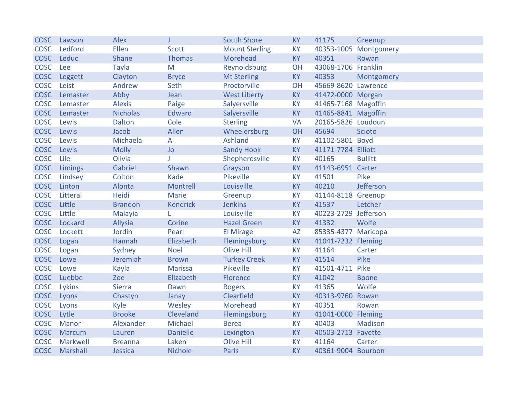| <b>COSC</b> | Lawson        | <b>Alex</b>     |                 | <b>South Shore</b>    | <b>KY</b> | 41175                | Greenup        |
|-------------|---------------|-----------------|-----------------|-----------------------|-----------|----------------------|----------------|
| <b>COSC</b> | Ledford       | Ellen           | <b>Scott</b>    | <b>Mount Sterling</b> | KY        | 40353-1005           | Montgomery     |
| <b>COSC</b> | Leduc         | Shane           | <b>Thomas</b>   | Morehead              | <b>KY</b> | 40351                | Rowan          |
| <b>COSC</b> | Lee           | <b>Tayla</b>    | M               | Reynoldsburg          | OH        | 43068-1706 Franklin  |                |
| <b>COSC</b> | Leggett       | Clayton         | <b>Bryce</b>    | <b>Mt Sterling</b>    | <b>KY</b> | 40353                | Montgomery     |
| <b>COSC</b> | Leist         | Andrew          | Seth            | Proctorville          | OH        | 45669-8620 Lawrence  |                |
| <b>COSC</b> | Lemaster      | Abby            | Jean            | <b>West Liberty</b>   | KY        | 41472-0000 Morgan    |                |
| <b>COSC</b> | Lemaster      | <b>Alexis</b>   | Paige           | Salyersville          | KY        | 41465-7168 Magoffin  |                |
| <b>COSC</b> | Lemaster      | <b>Nicholas</b> | <b>Edward</b>   | Salyersville          | KY        | 41465-8841 Magoffin  |                |
| <b>COSC</b> | Lewis         | Dalton          | Cole            | <b>Sterling</b>       | <b>VA</b> | 20165-5826 Loudoun   |                |
| <b>COSC</b> | Lewis         | Jacob           | Allen           | Wheelersburg          | OH        | 45694                | <b>Scioto</b>  |
| <b>COSC</b> | Lewis         | Michaela        | A               | <b>Ashland</b>        | KY        | 41102-5801           | <b>Boyd</b>    |
| <b>COSC</b> | Lewis         | <b>Molly</b>    | Jo              | <b>Sandy Hook</b>     | <b>KY</b> | 41171-7784 Elliott   |                |
| <b>COSC</b> | Lile          | Olivia          | T               | Shepherdsville        | <b>KY</b> | 40165                | <b>Bullitt</b> |
| <b>COSC</b> | Limings       | Gabriel         | Shawn           | Grayson               | <b>KY</b> | 41143-6951           | Carter         |
| <b>COSC</b> | Lindsey       | Colton          | Kade            | Pikeville             | KY        | 41501                | Pike           |
| <b>COSC</b> | Linton        | Alonta          | Montrell        | Louisville            | <b>KY</b> | 40210                | Jefferson      |
| <b>COSC</b> | Litteral      | Heidi           | <b>Marie</b>    | Greenup               | KY        | 41144-8118 Greenup   |                |
| <b>COSC</b> | Little        | <b>Brandon</b>  | <b>Kendrick</b> | <b>Jenkins</b>        | <b>KY</b> | 41537                | Letcher        |
| <b>COSC</b> | Little        | Malayia         |                 | Louisville            | KY        | 40223-2729 Jefferson |                |
| <b>COSC</b> | Lockard       | Allysia         | Corine          | <b>Hazel Green</b>    | KY        | 41332                | Wolfe          |
| <b>COSC</b> | Lockett       | Jordin          | Pearl           | <b>El Mirage</b>      | <b>AZ</b> | 85335-4377 Maricopa  |                |
| <b>COSC</b> | Logan         | Hannah          | Elizabeth       | Flemingsburg          | KY        | 41041-7232 Fleming   |                |
| <b>COSC</b> | Logan         | Sydney          | <b>Noel</b>     | <b>Olive Hill</b>     | KY        | 41164                | Carter         |
| <b>COSC</b> | Lowe          | Jeremiah        | <b>Brown</b>    | <b>Turkey Creek</b>   | KY        | 41514                | Pike           |
| <b>COSC</b> | Lowe          | Kayla           | <b>Marissa</b>  | Pikeville             | KY        | 41501-4711           | Pike           |
| <b>COSC</b> | Luebbe        | Zoe             | Elizabeth       | Florence              | KY        | 41042                | <b>Boone</b>   |
| <b>COSC</b> | Lykins        | <b>Sierra</b>   | Dawn            | <b>Rogers</b>         | <b>KY</b> | 41365                | Wolfe          |
| <b>COSC</b> | Lyons         | Chastyn         | Janay           | Clearfield            | <b>KY</b> | 40313-9760           | Rowan          |
| <b>COSC</b> | Lyons         | Kyle            | Wesley          | Morehead              | <b>KY</b> | 40351                | Rowan          |
| <b>COSC</b> | Lytle         | <b>Brooke</b>   | Cleveland       | Flemingsburg          | KY        | 41041-0000           | Fleming        |
| <b>COSC</b> | <b>Manor</b>  | Alexander       | Michael         | <b>Berea</b>          | <b>KY</b> | 40403                | <b>Madison</b> |
| <b>COSC</b> | <b>Marcum</b> | Lauren          | <b>Danielle</b> | Lexington             | KY        | 40503-2713 Fayette   |                |
| <b>COSC</b> | Markwell      | <b>Breanna</b>  | Laken           | <b>Olive Hill</b>     | KY        | 41164                | Carter         |
| <b>COSC</b> | Marshall      | Jessica         | <b>Nichole</b>  | <b>Paris</b>          | <b>KY</b> | 40361-9004 Bourbon   |                |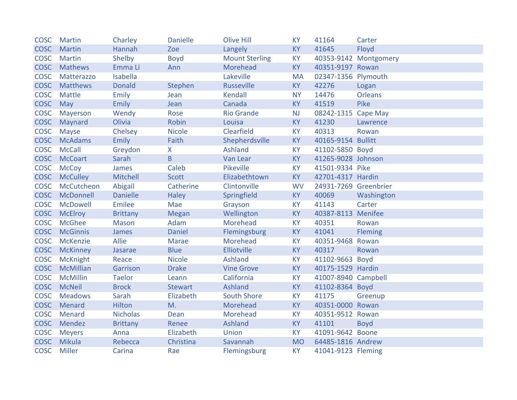| <b>COSC</b> | <b>Martin</b>   | Charley         | <b>Danielle</b> | <b>Olive Hill</b>     | <b>KY</b> | 41164                 | Carter                |
|-------------|-----------------|-----------------|-----------------|-----------------------|-----------|-----------------------|-----------------------|
| <b>COSC</b> | <b>Martin</b>   | Hannah          | Zoe             | Langely               | <b>KY</b> | 41645                 | Floyd                 |
| <b>COSC</b> | <b>Martin</b>   | Shelby          | <b>Boyd</b>     | <b>Mount Sterling</b> | <b>KY</b> |                       | 40353-9142 Montgomery |
| <b>COSC</b> | <b>Mathews</b>  | Emma Li         | Ann             | Morehead              | <b>KY</b> | 40351-9197 Rowan      |                       |
| <b>COSC</b> | Matterazzo      | Isabella        |                 | Lakeville             | <b>MA</b> | 02347-1356 Plymouth   |                       |
|             | COSC Matthews   | <b>Donald</b>   | Stephen         | <b>Russeville</b>     | <b>KY</b> | 42276                 | Logan                 |
| <b>COSC</b> | Mattle          | Emily           | Jean            | <b>Kendall</b>        | <b>NY</b> | 14476                 | Orleans               |
| <b>COSC</b> | May             | <b>Emily</b>    | Jean            | Canada                | KY        | 41519                 | Pike                  |
| <b>COSC</b> | Mayerson        | Wendy           | Rose            | <b>Rio Grande</b>     | <b>NJ</b> | 08242-1315            | <b>Cape May</b>       |
| <b>COSC</b> | Maynard         | Olivia          | Robin           | Louisa                | <b>KY</b> | 41230                 | Lawrence              |
| <b>COSC</b> | <b>Mayse</b>    | Chelsey         | <b>Nicole</b>   | Clearfield            | <b>KY</b> | 40313                 | Rowan                 |
| <b>COSC</b> | <b>McAdams</b>  | <b>Emily</b>    | Faith           | Shepherdsville        | <b>KY</b> | 40165-9154 Bullitt    |                       |
| <b>COSC</b> | <b>McCall</b>   | Greydon         | X               | Ashland               | <b>KY</b> | 41102-5850 Boyd       |                       |
| <b>COSC</b> | <b>McCoart</b>  | Sarah           | $\overline{B}$  | Van Lear              | <b>KY</b> | 41265-9028 Johnson    |                       |
| <b>COSC</b> | <b>McCoy</b>    | James           | Caleb           | Pikeville             | <b>KY</b> | 41501-9334 Pike       |                       |
| <b>COSC</b> | <b>McCulley</b> | Mitchell        | <b>Scott</b>    | Elizabethtown         | <b>KY</b> | 42701-4317 Hardin     |                       |
| <b>COSC</b> | McCutcheon      | Abigail         | Catherine       | Clintonville          | <b>WV</b> | 24931-7269 Greenbrier |                       |
| <b>COSC</b> | McDonnell       | <b>Danielle</b> | <b>Haley</b>    | Springfield           | <b>KY</b> | 40069                 | Washington            |
| <b>COSC</b> | <b>McDowell</b> | Emilee          | Mae             | Grayson               | <b>KY</b> | 41143                 | Carter                |
|             | COSC McElroy    | <b>Brittany</b> | <b>Megan</b>    | Wellington            | <b>KY</b> | 40387-8113 Menifee    |                       |
| <b>COSC</b> | <b>McGhee</b>   | <b>Mason</b>    | Adam            | Morehead              | <b>KY</b> | 40351                 | Rowan                 |
| <b>COSC</b> | <b>McGinnis</b> | James           | <b>Daniel</b>   | Flemingsburg          | <b>KY</b> | 41041                 | Fleming               |
| <b>COSC</b> | McKenzie        | <b>Allie</b>    | <b>Marae</b>    | Morehead              | <b>KY</b> | 40351-9468            | Rowan                 |
| <b>COSC</b> | <b>McKinney</b> | Jasarae         | <b>Blue</b>     | Elliotville           | <b>KY</b> | 40317                 | Rowan                 |
| <b>COSC</b> | <b>McKnight</b> | Reace           | <b>Nicole</b>   | Ashland               | <b>KY</b> | 41102-9663 Boyd       |                       |
| <b>COSC</b> | McMillian       | Garrison        | <b>Drake</b>    | <b>Vine Grove</b>     | <b>KY</b> | 40175-1529 Hardin     |                       |
| <b>COSC</b> | <b>McMillin</b> | <b>Taelor</b>   | Leann           | California            | KY        | 41007-8940 Campbell   |                       |
| <b>COSC</b> | <b>McNeil</b>   | <b>Brock</b>    | <b>Stewart</b>  | Ashland               | <b>KY</b> | 41102-8364 Boyd       |                       |
| <b>COSC</b> | <b>Meadows</b>  | Sarah           | Elizabeth       | <b>South Shore</b>    | <b>KY</b> | 41175                 | Greenup               |
| <b>COSC</b> | Menard          | Hilton          | M.              | Morehead              | <b>KY</b> | 40351-0000 Rowan      |                       |
| <b>COSC</b> | Menard          | <b>Nicholas</b> | Dean            | Morehead              | <b>KY</b> | 40351-9512 Rowan      |                       |
| <b>COSC</b> | Mendez          | <b>Brittany</b> | Renee           | Ashland               | <b>KY</b> | 41101                 | <b>Boyd</b>           |
| <b>COSC</b> | <b>Meyers</b>   | Anna            | Elizabeth       | Union                 | <b>KY</b> | 41091-9642 Boone      |                       |
| <b>COSC</b> | Mikula          | Rebecca         | Christina       | Savannah              | <b>MO</b> | 64485-1816 Andrew     |                       |
| <b>COSC</b> | <b>Miller</b>   | Carina          | Rae             | Flemingsburg          | <b>KY</b> | 41041-9123 Fleming    |                       |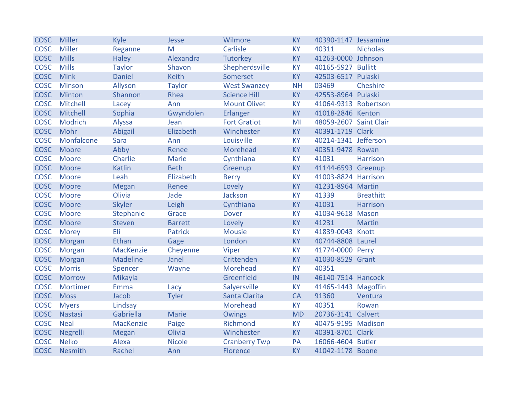| <b>COSC</b> | Miller        | Kyle            | Jesse          | Wilmore              | <b>KY</b> | 40390-1147 Jessamine   |                  |
|-------------|---------------|-----------------|----------------|----------------------|-----------|------------------------|------------------|
| <b>COSC</b> | <b>Miller</b> | Reganne         | M              | Carlisle             | <b>KY</b> | 40311                  | <b>Nicholas</b>  |
| <b>COSC</b> | <b>Mills</b>  | <b>Haley</b>    | Alexandra      | <b>Tutorkey</b>      | <b>KY</b> | 41263-0000 Johnson     |                  |
| <b>COSC</b> | <b>Mills</b>  | <b>Taylor</b>   | Shavon         | Shepherdsville       | <b>KY</b> | 40165-5927 Bullitt     |                  |
| <b>COSC</b> | <b>Mink</b>   | Daniel          | Keith          | Somerset             | KY        | 42503-6517 Pulaski     |                  |
| <b>COSC</b> | <b>Minson</b> | Allyson         | <b>Taylor</b>  | <b>West Swanzey</b>  | <b>NH</b> | 03469                  | Cheshire         |
| <b>COSC</b> | Minton        | Shannon         | Rhea           | <b>Science Hill</b>  | KY        | 42553-8964 Pulaski     |                  |
| <b>COSC</b> | Mitchell      | Lacey           | Ann            | <b>Mount Olivet</b>  | <b>KY</b> | 41064-9313 Robertson   |                  |
| <b>COSC</b> | Mitchell      | Sophia          | Gwyndolen      | Erlanger             | KY        | 41018-2846 Kenton      |                  |
| <b>COSC</b> | Modrich       | Alyssa          | Jean           | <b>Fort Gratiot</b>  | MI        | 48059-2607 Saint Clair |                  |
| <b>COSC</b> | Mohr          | Abigail         | Elizabeth      | Winchester           | <b>KY</b> | 40391-1719 Clark       |                  |
| <b>COSC</b> | Monfalcone    | Sara            | Ann            | Louisville           | <b>KY</b> | 40214-1341 Jefferson   |                  |
| <b>COSC</b> | Moore         | Abby            | Renee          | Morehead             | <b>KY</b> | 40351-9478 Rowan       |                  |
| <b>COSC</b> | Moore         | Charlie         | Marie          | Cynthiana            | <b>KY</b> | 41031                  | <b>Harrison</b>  |
| <b>COSC</b> | Moore         | <b>Katlin</b>   | <b>Beth</b>    | Greenup              | <b>KY</b> | 41144-6593 Greenup     |                  |
| <b>COSC</b> | Moore         | Leah            | Elizabeth      | <b>Berry</b>         | <b>KY</b> | 41003-8824 Harrison    |                  |
| <b>COSC</b> | Moore         | <b>Megan</b>    | Renee          | Lovely               | <b>KY</b> | 41231-8964 Martin      |                  |
| <b>COSC</b> | Moore         | Olivia          | Jade           | Jackson              | <b>KY</b> | 41339                  | <b>Breathitt</b> |
| <b>COSC</b> | Moore         | <b>Skyler</b>   | Leigh          | Cynthiana            | <b>KY</b> | 41031                  | <b>Harrison</b>  |
| <b>COSC</b> | Moore         | Stephanie       | Grace          | <b>Dover</b>         | <b>KY</b> | 41034-9618 Mason       |                  |
| <b>COSC</b> | Moore         | <b>Steven</b>   | <b>Barrett</b> | Lovely               | KY        | 41231                  | <b>Martin</b>    |
| <b>COSC</b> | <b>Morey</b>  | Eli             | <b>Patrick</b> | <b>Mousie</b>        | <b>KY</b> | 41839-0043 Knott       |                  |
| <b>COSC</b> | Morgan        | Ethan           | Gage           | London               | KY        | 40744-8808 Laurel      |                  |
| <b>COSC</b> | Morgan        | MacKenzie       | Cheyenne       | Viper                | KY        | 41774-0000 Perry       |                  |
| <b>COSC</b> | Morgan        | <b>Madeline</b> | Janel          | Crittenden           | <b>KY</b> | 41030-8529 Grant       |                  |
| <b>COSC</b> | <b>Morris</b> | Spencer         | Wayne          | Morehead             | KY        | 40351                  |                  |
| <b>COSC</b> | <b>Morrow</b> | Mikayla         |                | Greenfield           | IN        | 46140-7514 Hancock     |                  |
| <b>COSC</b> | Mortimer      | Emma            | Lacy           | Salyersville         | <b>KY</b> | 41465-1443 Magoffin    |                  |
| <b>COSC</b> | <b>Moss</b>   | Jacob           | <b>Tyler</b>   | Santa Clarita        | <b>CA</b> | 91360                  | Ventura          |
| <b>COSC</b> | <b>Myers</b>  | Lindsay         |                | Morehead             | <b>KY</b> | 40351                  | Rowan            |
| <b>COSC</b> | Nastasi       | Gabriella       | Marie          | <b>Owings</b>        | <b>MD</b> | 20736-3141 Calvert     |                  |
| <b>COSC</b> | <b>Neal</b>   | MacKenzie       | Paige          | Richmond             | <b>KY</b> | 40475-9195 Madison     |                  |
| <b>COSC</b> | Negrelli      | <b>Megan</b>    | Olivia         | Winchester           | <b>KY</b> | 40391-8701 Clark       |                  |
| <b>COSC</b> | <b>Nelko</b>  | Alexa           | <b>Nicole</b>  | <b>Cranberry Twp</b> | PA        | 16066-4604 Butler      |                  |
| <b>COSC</b> | Nesmith       | Rachel          | Ann            | <b>Florence</b>      | <b>KY</b> | 41042-1178 Boone       |                  |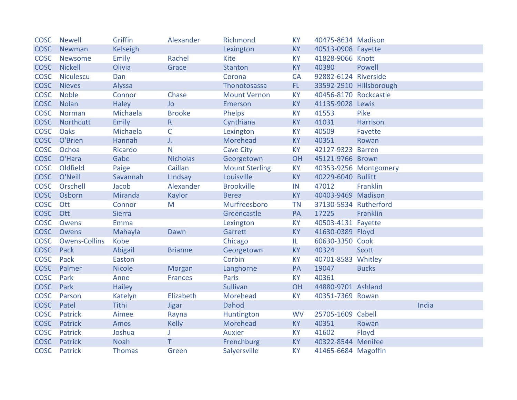| <b>COSC</b> | <b>Newell</b>        | Griffin        | Alexander       | <b>Richmond</b>       | <b>KY</b> | 40475-8634 Madison    |                         |       |
|-------------|----------------------|----------------|-----------------|-----------------------|-----------|-----------------------|-------------------------|-------|
| <b>COSC</b> | Newman               | Kelseigh       |                 | Lexington             | <b>KY</b> | 40513-0908 Fayette    |                         |       |
| <b>COSC</b> | Newsome              | Emily          | Rachel          | <b>Kite</b>           | <b>KY</b> | 41828-9066 Knott      |                         |       |
| <b>COSC</b> | <b>Nickell</b>       | Olivia         | Grace           | <b>Stanton</b>        | <b>KY</b> | 40380                 | Powell                  |       |
| <b>COSC</b> | <b>Niculescu</b>     | Dan            |                 | Corona                | CA        | 92882-6124 Riverside  |                         |       |
| <b>COSC</b> | <b>Nieves</b>        | Alyssa         |                 | Thonotosassa          | FL.       |                       | 33592-2910 Hillsborough |       |
| <b>COSC</b> | <b>Noble</b>         | Connor         | Chase           | <b>Mount Vernon</b>   | <b>KY</b> | 40456-8170 Rockcastle |                         |       |
| <b>COSC</b> | Nolan                | <b>Haley</b>   | <b>Jo</b>       | <b>Emerson</b>        | <b>KY</b> | 41135-9028 Lewis      |                         |       |
| <b>COSC</b> | Norman               | Michaela       | <b>Brooke</b>   | Phelps                | KY        | 41553                 | Pike                    |       |
| <b>COSC</b> | Northcutt            | <b>Emily</b>   | $\mathsf R$     | Cynthiana             | KY        | 41031                 | Harrison                |       |
| <b>COSC</b> | Oaks                 | Michaela       | $\mathsf{C}$    | Lexington             | <b>KY</b> | 40509                 | Fayette                 |       |
| <b>COSC</b> | O'Brien              | Hannah         | J.              | Morehead              | <b>KY</b> | 40351                 | Rowan                   |       |
| <b>COSC</b> | Ochoa                | Ricardo        | N               | <b>Cave City</b>      | <b>KY</b> | 42127-9323 Barren     |                         |       |
|             | COSC O'Hara          | Gabe           | <b>Nicholas</b> | Georgetown            | OH        | 45121-9766 Brown      |                         |       |
| <b>COSC</b> | Oldfield             | Paige          | Caillan         | <b>Mount Sterling</b> | <b>KY</b> |                       | 40353-9256 Montgomery   |       |
| <b>COSC</b> | O'Neill              | Savannah       | Lindsay         | Louisville            | <b>KY</b> | 40229-6040 Bullitt    |                         |       |
| <b>COSC</b> | Orschell             | Jacob          | Alexander       | <b>Brookville</b>     | IN        | 47012                 | Franklin                |       |
| <b>COSC</b> | Osborn               | <b>Miranda</b> | Kaylor          | <b>Berea</b>          | <b>KY</b> | 40403-9469 Madison    |                         |       |
| <b>COSC</b> | Ott                  | Connor         | M               | Murfreesboro          | <b>TN</b> | 37130-5934 Rutherford |                         |       |
| <b>COSC</b> | Ott                  | <b>Sierra</b>  |                 | Greencastle           | PA        | 17225                 | Franklin                |       |
| <b>COSC</b> | Owens                | Emma           |                 | Lexington             | <b>KY</b> | 40503-4131 Fayette    |                         |       |
| <b>COSC</b> | Owens                | Mahayla        | Dawn            | Garrett               | <b>KY</b> | 41630-0389 Floyd      |                         |       |
| <b>COSC</b> | <b>Owens-Collins</b> | Kobe           |                 | Chicago               | IL.       | 60630-3350 Cook       |                         |       |
| <b>COSC</b> | Pack                 | Abigail        | <b>Brianne</b>  | Georgetown            | <b>KY</b> | 40324                 | Scott                   |       |
| <b>COSC</b> | Pack                 | Easton         |                 | Corbin                | <b>KY</b> | 40701-8583 Whitley    |                         |       |
| <b>COSC</b> | Palmer               | <b>Nicole</b>  | <b>Morgan</b>   | Langhorne             | PA        | 19047                 | <b>Bucks</b>            |       |
| <b>COSC</b> | Park                 | Anne           | <b>Frances</b>  | Paris                 | <b>KY</b> | 40361                 |                         |       |
| <b>COSC</b> | Park                 | <b>Hailey</b>  |                 | Sullivan              | OH        | 44880-9701 Ashland    |                         |       |
| <b>COSC</b> | Parson               | Katelyn        | Elizabeth       | Morehead              | <b>KY</b> | 40351-7369 Rowan      |                         |       |
| <b>COSC</b> | Patel                | Tithi          | <b>Jigar</b>    | <b>Dahod</b>          |           |                       |                         | India |
| <b>COSC</b> | Patrick              | Aimee          | Rayna           | Huntington            | <b>WV</b> | 25705-1609 Cabell     |                         |       |
| <b>COSC</b> | Patrick              | Amos           | <b>Kelly</b>    | Morehead              | <b>KY</b> | 40351                 | Rowan                   |       |
| <b>COSC</b> | <b>Patrick</b>       | Joshua         |                 | <b>Auxier</b>         | <b>KY</b> | 41602                 | Floyd                   |       |
| <b>COSC</b> | Patrick              | <b>Noah</b>    | T               | Frenchburg            | <b>KY</b> | 40322-8544 Menifee    |                         |       |
| <b>COSC</b> | Patrick              | <b>Thomas</b>  | Green           | Salyersville          | <b>KY</b> | 41465-6684 Magoffin   |                         |       |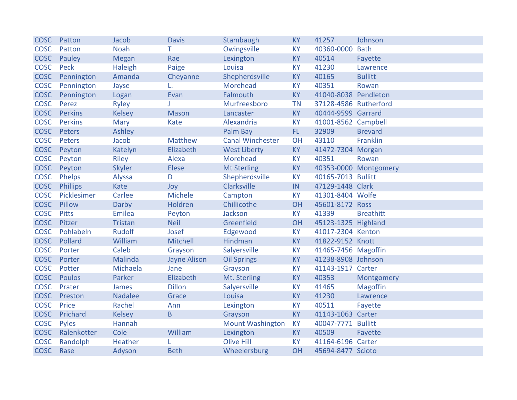| <b>COSC</b> | Patton          | Jacob          | <b>Davis</b>        | Stambaugh               | <b>KY</b>  | 41257                 | Johnson               |
|-------------|-----------------|----------------|---------------------|-------------------------|------------|-----------------------|-----------------------|
| <b>COSC</b> | Patton          | <b>Noah</b>    | T.                  | Owingsville             | KY         | 40360-0000            | <b>Bath</b>           |
| <b>COSC</b> | Pauley          | <b>Megan</b>   | Rae                 | Lexington               | <b>KY</b>  | 40514                 | Fayette               |
| <b>COSC</b> | Peck            | Haleigh        | Paige               | Louisa                  | <b>KY</b>  | 41230                 | Lawrence              |
| <b>COSC</b> | Pennington      | Amanda         | Cheyanne            | Shepherdsville          | KY         | 40165                 | <b>Bullitt</b>        |
| <b>COSC</b> | Pennington      | Jayse          | L.                  | Morehead                | KY         | 40351                 | Rowan                 |
| <b>COSC</b> | Pennington      | Logan          | Evan                | Falmouth                | KY         | 41040-8038 Pendleton  |                       |
| <b>COSC</b> | Perez           | <b>Ryley</b>   |                     | Murfreesboro            | <b>TN</b>  | 37128-4586 Rutherford |                       |
| <b>COSC</b> | <b>Perkins</b>  | <b>Kelsey</b>  | <b>Mason</b>        | Lancaster               | KY         | 40444-9599 Garrard    |                       |
| <b>COSC</b> | <b>Perkins</b>  | <b>Mary</b>    | Kate                | Alexandria              | KY         | 41001-8562 Campbell   |                       |
| <b>COSC</b> | Peters          | Ashley         |                     | Palm Bay                | FL.        | 32909                 | <b>Brevard</b>        |
| <b>COSC</b> | Peters          | Jacob          | <b>Matthew</b>      | <b>Canal Winchester</b> | OH         | 43110                 | Franklin              |
| <b>COSC</b> | Peyton          | Katelyn        | Elizabeth           | <b>West Liberty</b>     | KY         | 41472-7304 Morgan     |                       |
| <b>COSC</b> | Peyton          | Riley          | Alexa               | Morehead                | <b>KY</b>  | 40351                 | Rowan                 |
| <b>COSC</b> | Peyton          | <b>Skyler</b>  | Elese               | <b>Mt Sterling</b>      | KY         |                       | 40353-0000 Montgomery |
| <b>COSC</b> | Phelps          | Alyssa         | D                   | Shepherdsville          | <b>KY</b>  | 40165-7013 Bullitt    |                       |
| <b>COSC</b> | <b>Phillips</b> | Kate           | Joy                 | Clarksville             | ${\sf IN}$ | 47129-1448 Clark      |                       |
| <b>COSC</b> | Picklesimer     | Carlee         | Michele             | Campton                 | <b>KY</b>  | 41301-8404 Wolfe      |                       |
| <b>COSC</b> | Pillow          | Darby          | Holdren             | Chillicothe             | OH         | 45601-8172 Ross       |                       |
| <b>COSC</b> | <b>Pitts</b>    | <b>Emilea</b>  | Peyton              | Jackson                 | KY         | 41339                 | <b>Breathitt</b>      |
| <b>COSC</b> | Pitzer          | <b>Tristan</b> | <b>Neil</b>         | Greenfield              | OH         | 45123-1325 Highland   |                       |
| <b>COSC</b> | Pohlabeln       | <b>Rudolf</b>  | Josef               | Edgewood                | KY         | 41017-2304 Kenton     |                       |
| <b>COSC</b> | Pollard         | William        | Mitchell            | Hindman                 | KY         | 41822-9152 Knott      |                       |
| <b>COSC</b> | Porter          | Caleb          | Grayson             | Salyersville            | KY         | 41465-7456 Magoffin   |                       |
| <b>COSC</b> | Porter          | Malinda        | <b>Jayne Alison</b> | <b>Oil Springs</b>      | <b>KY</b>  | 41238-8908 Johnson    |                       |
| <b>COSC</b> | Potter          | Michaela       | Jane                | Grayson                 | KY         | 41143-1917 Carter     |                       |
| <b>COSC</b> | <b>Poulos</b>   | Parker         | Elizabeth           | Mt. Sterling            | KY         | 40353                 | Montgomery            |
| <b>COSC</b> | Prater          | James          | <b>Dillon</b>       | Salyersville            | <b>KY</b>  | 41465                 | Magoffin              |
| <b>COSC</b> | Preston         | <b>Nadalee</b> | Grace               | Louisa                  | KY         | 41230                 | Lawrence              |
| <b>COSC</b> | Price           | Rachel         | Ann                 | Lexington               | KY         | 40511                 | Fayette               |
| <b>COSC</b> | Prichard        | <b>Kelsey</b>  | B                   | Grayson                 | <b>KY</b>  | 41143-1063 Carter     |                       |
| <b>COSC</b> | Pyles           | Hannah         |                     | <b>Mount Washington</b> | <b>KY</b>  | 40047-7771            | <b>Bullitt</b>        |
| <b>COSC</b> | Ralenkotter     | Cole           | William             | Lexington               | <b>KY</b>  | 40509                 | Fayette               |
| <b>COSC</b> | Randolph        | Heather        |                     | <b>Olive Hill</b>       | KY         | 41164-6196 Carter     |                       |
| <b>COSC</b> | Rase            | Adyson         | <b>Beth</b>         | Wheelersburg            | OH         | 45694-8477 Scioto     |                       |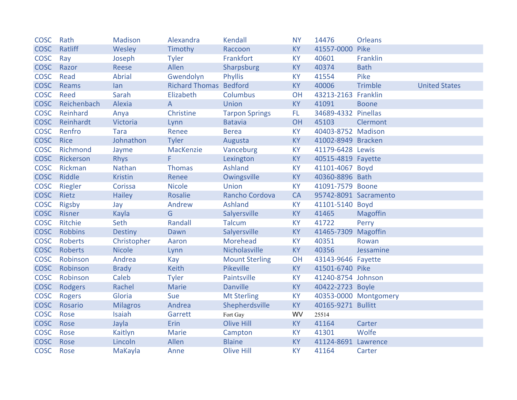| <b>COSC</b> | Rath           | <b>Madison</b>  | Alexandra                     | <b>Kendall</b>        | <b>NY</b> | 14476                 | <b>Orleans</b>        |                      |
|-------------|----------------|-----------------|-------------------------------|-----------------------|-----------|-----------------------|-----------------------|----------------------|
| <b>COSC</b> | Ratliff        | Wesley          | Timothy                       | Raccoon               | <b>KY</b> | 41557-0000            | Pike                  |                      |
| <b>COSC</b> | Ray            | Joseph          | <b>Tyler</b>                  | Frankfort             | <b>KY</b> | 40601                 | Franklin              |                      |
| <b>COSC</b> | Razor          | Reese           | Allen                         | Sharpsburg            | <b>KY</b> | 40374                 | <b>Bath</b>           |                      |
| <b>COSC</b> | Read           | <b>Abrial</b>   | Gwendolyn                     | Phyllis               | <b>KY</b> | 41554                 | Pike                  |                      |
| <b>COSC</b> | Reams          | lan             | <b>Richard Thomas Bedford</b> |                       | <b>KY</b> | 40006                 | <b>Trimble</b>        | <b>United States</b> |
| <b>COSC</b> | Reed           | Sarah           | Elizabeth                     | Columbus              | OH        | 43213-2163 Franklin   |                       |                      |
| <b>COSC</b> | Reichenbach    | Alexia          | A                             | Union                 | <b>KY</b> | 41091                 | <b>Boone</b>          |                      |
| <b>COSC</b> | Reinhard       | Anya            | Christine                     | <b>Tarpon Springs</b> | FL.       | 34689-4332 Pinellas   |                       |                      |
| <b>COSC</b> | Reinhardt      | Victoria        | Lynn                          | <b>Batavia</b>        | OH        | 45103                 | Clermont              |                      |
| <b>COSC</b> | Renfro         | <b>Tara</b>     | Renee                         | <b>Berea</b>          | <b>KY</b> | 40403-8752 Madison    |                       |                      |
| <b>COSC</b> | <b>Rice</b>    | Johnathon       | <b>Tyler</b>                  | Augusta               | <b>KY</b> | 41002-8949 Bracken    |                       |                      |
| <b>COSC</b> | Richmond       | Jayme           | MacKenzie                     | Vanceburg             | <b>KY</b> | 41179-6428 Lewis      |                       |                      |
| <b>COSC</b> | Rickerson      | <b>Rhys</b>     | F.                            | Lexington             | <b>KY</b> | 40515-4819 Fayette    |                       |                      |
| <b>COSC</b> | Rickman        | Nathan          | <b>Thomas</b>                 | Ashland               | <b>KY</b> | 41101-4067 Boyd       |                       |                      |
| <b>COSC</b> | Riddle         | <b>Kristin</b>  | Renee                         | Owingsville           | <b>KY</b> | 40360-8896 Bath       |                       |                      |
| <b>COSC</b> | Riegler        | Corissa         | <b>Nicole</b>                 | <b>Union</b>          | <b>KY</b> | 41091-7579 Boone      |                       |                      |
| <b>COSC</b> | Rietz          | <b>Hailey</b>   | Rosalie                       | Rancho Cordova        | <b>CA</b> | 95742-8091 Sacramento |                       |                      |
| COSC        | Rigsby         | Jay             | Andrew                        | Ashland               | <b>KY</b> | 41101-5140 Boyd       |                       |                      |
| <b>COSC</b> | Risner         | Kayla           | G                             | Salyersville          | <b>KY</b> | 41465                 | <b>Magoffin</b>       |                      |
| <b>COSC</b> | Ritchie        | Seth            | Randall                       | <b>Talcum</b>         | <b>KY</b> | 41722                 | Perry                 |                      |
| <b>COSC</b> | <b>Robbins</b> | <b>Destiny</b>  | Dawn                          | Salyersville          | <b>KY</b> | 41465-7309            | <b>Magoffin</b>       |                      |
| <b>COSC</b> | Roberts        | Christopher     | Aaron                         | Morehead              | <b>KY</b> | 40351                 | Rowan                 |                      |
| <b>COSC</b> | Roberts        | <b>Nicole</b>   | Lynn                          | Nicholasville         | <b>KY</b> | 40356                 | Jessamine             |                      |
| <b>COSC</b> | Robinson       | Andrea          | Kay                           | <b>Mount Sterling</b> | OH        | 43143-9646 Fayette    |                       |                      |
| <b>COSC</b> | Robinson       | <b>Brady</b>    | Keith                         | Pikeville             | <b>KY</b> | 41501-6740 Pike       |                       |                      |
| <b>COSC</b> | Robinson       | Caleb           | <b>Tyler</b>                  | Paintsville           | <b>KY</b> | 41240-8754 Johnson    |                       |                      |
| <b>COSC</b> | Rodgers        | Rachel          | <b>Marie</b>                  | <b>Danville</b>       | <b>KY</b> | 40422-2723 Boyle      |                       |                      |
| <b>COSC</b> | <b>Rogers</b>  | Gloria          | Sue                           | <b>Mt Sterling</b>    | <b>KY</b> |                       | 40353-0000 Montgomery |                      |
| <b>COSC</b> | Rosario        | <b>Milagros</b> | Andrea                        | Shepherdsville        | <b>KY</b> | 40165-9271 Bullitt    |                       |                      |
| <b>COSC</b> | Rose           | Isaiah          | Garrett                       | Fort Gay              | WV        | 25514                 |                       |                      |
| <b>COSC</b> | Rose           | Jayla           | Erin                          | <b>Olive Hill</b>     | <b>KY</b> | 41164                 | Carter                |                      |
| <b>COSC</b> | Rose           | Kaitlyn         | <b>Marie</b>                  | Campton               | <b>KY</b> | 41301                 | Wolfe                 |                      |
| <b>COSC</b> | Rose           | Lincoln         | Allen                         | <b>Blaine</b>         | KY        | 41124-8691            | Lawrence              |                      |
| <b>COSC</b> | Rose           | MaKayla         | Anne                          | <b>Olive Hill</b>     | <b>KY</b> | 41164                 | Carter                |                      |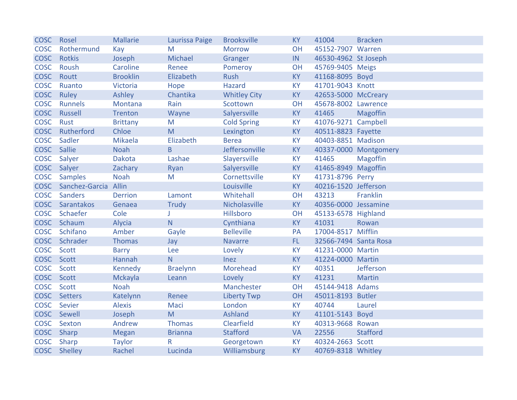| <b>COSC</b> | Rosel                | <b>Mallarie</b> | Laurissa Paige  | <b>Brooksville</b>  | <b>KY</b> | 41004                 | <b>Bracken</b>        |
|-------------|----------------------|-----------------|-----------------|---------------------|-----------|-----------------------|-----------------------|
| <b>COSC</b> | Rothermund           | Kay             | M               | <b>Morrow</b>       | OH        | 45152-7907 Warren     |                       |
| <b>COSC</b> | Rotkis               | Joseph          | Michael         | Granger             | IN        | 46530-4962 St Joseph  |                       |
| <b>COSC</b> | Roush                | Caroline        | Renee           | Pomeroy             | <b>OH</b> | 45769-9405 Meigs      |                       |
| <b>COSC</b> | Routt                | <b>Brooklin</b> | Elizabeth       | <b>Rush</b>         | <b>KY</b> | 41168-8095 Boyd       |                       |
| <b>COSC</b> | Ruanto               | Victoria        | Hope            | <b>Hazard</b>       | <b>KY</b> | 41701-9043 Knott      |                       |
| <b>COSC</b> | Ruley                | Ashley          | Chantika        | <b>Whitley City</b> | KY        | 42653-5000 McCreary   |                       |
| <b>COSC</b> | <b>Runnels</b>       | Montana         | Rain            | Scottown            | OH        | 45678-8002 Lawrence   |                       |
| <b>COSC</b> | Russell              | <b>Trenton</b>  | Wayne           | Salyersville        | <b>KY</b> | 41465                 | Magoffin              |
| <b>COSC</b> | Rust                 | <b>Brittany</b> | M               | <b>Cold Spring</b>  | <b>KY</b> | 41076-9271 Campbell   |                       |
| <b>COSC</b> | Rutherford           | Chloe           | M               | Lexington           | <b>KY</b> | 40511-8823 Fayette    |                       |
| <b>COSC</b> | Sadler               | Mikaela         | Elizabeth       | <b>Berea</b>        | KY        | 40403-8851 Madison    |                       |
| <b>COSC</b> | Sallie               | <b>Noah</b>     | B.              | Jeffersonville      | <b>KY</b> |                       | 40337-0000 Montgomery |
| <b>COSC</b> | Salyer               | Dakota          | Lashae          | Slayersville        | <b>KY</b> | 41465                 | Magoffin              |
| <b>COSC</b> | Salyer               | Zachary         | Ryan            | Salyersville        | <b>KY</b> | 41465-8949 Magoffin   |                       |
| <b>COSC</b> | <b>Samples</b>       | <b>Noah</b>     | M               | Cornettsville       | KY        | 41731-8796 Perry      |                       |
| <b>COSC</b> | Sanchez-Garcia Allin |                 |                 | Louisville          | <b>KY</b> | 40216-1520 Jefferson  |                       |
| <b>COSC</b> | <b>Sanders</b>       | <b>Derrion</b>  | Lamont          | Whitehall           | OH        | 43213                 | Franklin              |
| <b>COSC</b> | Sarantakos           | Genaea          | <b>Trudy</b>    | Nicholasville       | <b>KY</b> | 40356-0000 Jessamine  |                       |
| <b>COSC</b> | Schaefer             | Cole            | J               | Hillsboro           | OH        | 45133-6578 Highland   |                       |
| <b>COSC</b> | Schaum               | Alycia          | N               | Cynthiana           | <b>KY</b> | 41031                 | Rowan                 |
| <b>COSC</b> | Schifano             | Amber           | Gayle           | <b>Belleville</b>   | PA        | 17004-8517 Mifflin    |                       |
| <b>COSC</b> | Schrader             | <b>Thomas</b>   | Jay             | <b>Navarre</b>      | FL.       | 32566-7494 Santa Rosa |                       |
| <b>COSC</b> | Scott                | <b>Barry</b>    | Lee             | Lovely              | KY        | 41231-0000 Martin     |                       |
| <b>COSC</b> | Scott                | Hannah          | N               | Inez                | <b>KY</b> | 41224-0000 Martin     |                       |
| <b>COSC</b> | Scott                | Kennedy         | <b>Braelynn</b> | Morehead            | KY        | 40351                 | Jefferson             |
| <b>COSC</b> | Scott                | Mckayla         | Leann           | Lovely              | <b>KY</b> | 41231                 | <b>Martin</b>         |
| <b>COSC</b> | <b>Scott</b>         | <b>Noah</b>     |                 | Manchester          | OH        | 45144-9418 Adams      |                       |
| <b>COSC</b> | <b>Setters</b>       | Katelynn        | Renee           | <b>Liberty Twp</b>  | OH        | 45011-8193 Butler     |                       |
| <b>COSC</b> | Sevier               | <b>Alexis</b>   | Maci            | London              | <b>KY</b> | 40744                 | Laurel                |
| <b>COSC</b> | Sewell               | Joseph          | M               | <b>Ashland</b>      | <b>KY</b> | 41101-5143 Boyd       |                       |
| <b>COSC</b> | Sexton               | Andrew          | <b>Thomas</b>   | Clearfield          | <b>KY</b> | 40313-9668 Rowan      |                       |
| <b>COSC</b> | Sharp                | <b>Megan</b>    | <b>Brianna</b>  | <b>Stafford</b>     | <b>VA</b> | 22556                 | <b>Stafford</b>       |
| <b>COSC</b> | Sharp                | <b>Taylor</b>   | $\mathsf R$     | Georgetown          | KY        | 40324-2663 Scott      |                       |
|             | COSC Shelley         | Rachel          | Lucinda         | Williamsburg        | <b>KY</b> | 40769-8318 Whitley    |                       |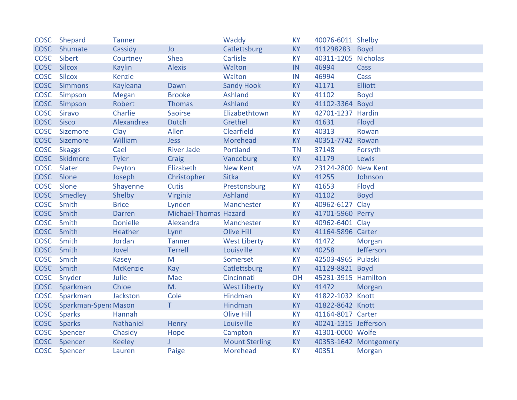| <b>COSC</b> | Shepard                     | <b>Tanner</b>   |                       | Waddy                 | <b>KY</b> | 40076-6011 Shelby    |                       |
|-------------|-----------------------------|-----------------|-----------------------|-----------------------|-----------|----------------------|-----------------------|
| <b>COSC</b> | Shumate                     | Cassidy         | <b>Jo</b>             | Catlettsburg          | <b>KY</b> | 411298283            | <b>Boyd</b>           |
| <b>COSC</b> | Sibert                      | Courtney        | <b>Shea</b>           | Carlisle              | <b>KY</b> | 40311-1205 Nicholas  |                       |
| <b>COSC</b> | <b>Silcox</b>               | <b>Kaylin</b>   | <b>Alexis</b>         | Walton                | IN        | 46994                | Cass                  |
| <b>COSC</b> | <b>Silcox</b>               | <b>Kenzie</b>   |                       | Walton                | IN        | 46994                | Cass                  |
|             | COSC Simmons                | Kayleana        | Dawn                  | <b>Sandy Hook</b>     | <b>KY</b> | 41171                | <b>Elliott</b>        |
| <b>COSC</b> | Simpson                     | <b>Megan</b>    | <b>Brooke</b>         | Ashland               | <b>KY</b> | 41102                | <b>Boyd</b>           |
| <b>COSC</b> | Simpson                     | <b>Robert</b>   | <b>Thomas</b>         | Ashland               | <b>KY</b> | 41102-3364 Boyd      |                       |
| <b>COSC</b> | <b>Siravo</b>               | Charlie         | <b>Saoirse</b>        | Elizabethtown         | KY        | 42701-1237 Hardin    |                       |
| <b>COSC</b> | <b>Sisco</b>                | Alexandrea      | <b>Dutch</b>          | Grethel               | <b>KY</b> | 41631                | Floyd                 |
| <b>COSC</b> | Sizemore                    | Clay            | Allen                 | Clearfield            | <b>KY</b> | 40313                | Rowan                 |
| <b>COSC</b> | Sizemore                    | William         | <b>Jess</b>           | Morehead              | <b>KY</b> | 40351-7742 Rowan     |                       |
| <b>COSC</b> | <b>Skaggs</b>               | Cael            | <b>River Jade</b>     | Portland              | <b>TN</b> | 37148                | Forsyth               |
|             | COSC Skidmore               | <b>Tyler</b>    | Craig                 | Vanceburg             | <b>KY</b> | 41179                | Lewis                 |
| <b>COSC</b> | Slater                      | Peyton          | Elizabeth             | <b>New Kent</b>       | <b>VA</b> | 23124-2800 New Kent  |                       |
| <b>COSC</b> | Slone                       | Joseph          | Christopher           | <b>Sitka</b>          | <b>KY</b> | 41255                | Johnson               |
| <b>COSC</b> | Slone                       | Shayenne        | Cutis                 | Prestonsburg          | <b>KY</b> | 41653                | Floyd                 |
| <b>COSC</b> | Smedley                     | Shelby          | Virginia              | Ashland               | <b>KY</b> | 41102                | <b>Boyd</b>           |
| <b>COSC</b> | Smith                       | <b>Brice</b>    | Lynden                | Manchester            | <b>KY</b> | 40962-6127 Clay      |                       |
| COSC Smith  |                             | <b>Darren</b>   | Michael-Thomas Hazard |                       | <b>KY</b> | 41701-5960 Perry     |                       |
| <b>COSC</b> | Smith                       | <b>Donielle</b> | Alexandra             | Manchester            | <b>KY</b> | 40962-6401 Clay      |                       |
| <b>COSC</b> | Smith                       | Heather         | Lynn                  | <b>Olive Hill</b>     | <b>KY</b> | 41164-5896 Carter    |                       |
| <b>COSC</b> | Smith                       | Jordan          | <b>Tanner</b>         | <b>West Liberty</b>   | KY        | 41472                | Morgan                |
| <b>COSC</b> | Smith                       | Jovel           | <b>Terrell</b>        | Louisville            | <b>KY</b> | 40258                | Jefferson             |
| <b>COSC</b> | Smith                       | <b>Kasey</b>    | M                     | Somerset              | <b>KY</b> | 42503-4965 Pulaski   |                       |
| <b>COSC</b> | Smith                       | <b>McKenzie</b> | Kay                   | Catlettsburg          | <b>KY</b> | 41129-8821 Boyd      |                       |
| <b>COSC</b> | Snyder                      | Julie           | Mae                   | Cincinnati            | OH        | 45231-3915 Hamilton  |                       |
|             | COSC Sparkman               | Chloe           | M.                    | <b>West Liberty</b>   | <b>KY</b> | 41472                | Morgan                |
| <b>COSC</b> | Sparkman                    | Jackston        | Cole                  | Hindman               | <b>KY</b> | 41822-1032 Knott     |                       |
| <b>COSC</b> | <b>Sparkman-Spenc Mason</b> |                 | T.                    | Hindman               | <b>KY</b> | 41822-8642 Knott     |                       |
| <b>COSC</b> | <b>Sparks</b>               | Hannah          |                       | <b>Olive Hill</b>     | <b>KY</b> | 41164-8017 Carter    |                       |
| <b>COSC</b> | <b>Sparks</b>               | Nathaniel       | Henry                 | Louisville            | <b>KY</b> | 40241-1315 Jefferson |                       |
| <b>COSC</b> | Spencer                     | Chasidy         | Hope                  | Campton               | <b>KY</b> | 41301-0000 Wolfe     |                       |
|             | COSC Spencer                | <b>Keeley</b>   |                       | <b>Mount Sterling</b> | <b>KY</b> |                      | 40353-1642 Montgomery |
| <b>COSC</b> | Spencer                     | Lauren          | Paige                 | <b>Morehead</b>       | <b>KY</b> | 40351                | <b>Morgan</b>         |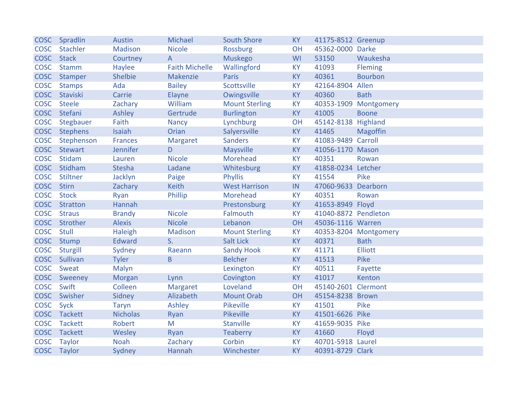|             | COSC Spradlin  | <b>Austin</b>   | Michael               | <b>South Shore</b>    | <b>KY</b> | 41175-8512 Greenup   |                       |
|-------------|----------------|-----------------|-----------------------|-----------------------|-----------|----------------------|-----------------------|
| <b>COSC</b> | Stachler       | <b>Madison</b>  | <b>Nicole</b>         | <b>Rossburg</b>       | OH        | 45362-0000 Darke     |                       |
| <b>COSC</b> | <b>Stack</b>   | Courtney        | $\mathsf{A}$          | <b>Muskego</b>        | WI        | 53150                | Waukesha              |
| <b>COSC</b> | <b>Stamm</b>   | Haylee          | <b>Faith Michelle</b> | Wallingford           | <b>KY</b> | 41093                | <b>Fleming</b>        |
| <b>COSC</b> | Stamper        | <b>Shelbie</b>  | Makenzie              | <b>Paris</b>          | <b>KY</b> | 40361                | <b>Bourbon</b>        |
| <b>COSC</b> | <b>Stamps</b>  | Ada             | <b>Bailey</b>         | Scottsville           | <b>KY</b> | 42164-8904           | Allen                 |
| <b>COSC</b> | Staviski       | Carrie          | Elayne                | Owingsville           | KY        | 40360                | <b>Bath</b>           |
| <b>COSC</b> | <b>Steele</b>  | Zachary         | William               | <b>Mount Sterling</b> | <b>KY</b> | 40353-1909           | Montgomery            |
| <b>COSC</b> | Stefani        | Ashley          | Gertrude              | <b>Burlington</b>     | KY        | 41005                | <b>Boone</b>          |
| <b>COSC</b> | Stegbauer      | Faith           | <b>Nancy</b>          | Lynchburg             | OH        | 45142-8138 Highland  |                       |
| <b>COSC</b> | Stephens       | <b>Isaiah</b>   | Orian                 | Salyersville          | <b>KY</b> | 41465                | <b>Magoffin</b>       |
| <b>COSC</b> | Stephenson     | <b>Frances</b>  | <b>Margaret</b>       | <b>Sanders</b>        | KY        | 41083-9489 Carroll   |                       |
|             | COSC Stewart   | Jennifer        | D.                    | Maysville             | <b>KY</b> | 41056-1170 Mason     |                       |
| <b>COSC</b> | Stidam         | Lauren          | <b>Nicole</b>         | Morehead              | <b>KY</b> | 40351                | Rowan                 |
| <b>COSC</b> | Stidham        | <b>Stesha</b>   | Ladane                | Whitesburg            | <b>KY</b> | 41858-0234 Letcher   |                       |
| <b>COSC</b> | Stiltner       | Jacklyn         | Paige                 | <b>Phyllis</b>        | <b>KY</b> | 41554                | Pike                  |
| <b>COSC</b> | <b>Stirn</b>   | Zachary         | <b>Keith</b>          | <b>West Harrison</b>  | IN        | 47060-9633           | Dearborn              |
| <b>COSC</b> | <b>Stock</b>   | Ryan            | Phillip               | Morehead              | <b>KY</b> | 40351                | Rowan                 |
| <b>COSC</b> | Stratton       | Hannah          |                       | Prestonsburg          | <b>KY</b> | 41653-8949 Floyd     |                       |
| <b>COSC</b> | <b>Straus</b>  | <b>Brandy</b>   | <b>Nicole</b>         | Falmouth              | <b>KY</b> | 41040-8872 Pendleton |                       |
| <b>COSC</b> | Strother       | <b>Alexis</b>   | <b>Nicole</b>         | Lebanon               | OH        | 45036-1116 Warren    |                       |
| <b>COSC</b> | <b>Stull</b>   | Haleigh         | <b>Madison</b>        | <b>Mount Sterling</b> | <b>KY</b> |                      | 40353-8204 Montgomery |
| <b>COSC</b> | Stump          | <b>Edward</b>   | S.                    | <b>Salt Lick</b>      | <b>KY</b> | 40371                | <b>Bath</b>           |
| <b>COSC</b> | Sturgill       | Sydney          | Raeann                | <b>Sandy Hook</b>     | KY        | 41171                | <b>Elliott</b>        |
| <b>COSC</b> | Sullivan       | <b>Tyler</b>    | $\mathsf B$           | <b>Belcher</b>        | <b>KY</b> | 41513                | Pike                  |
| <b>COSC</b> | Sweat          | Malyn           |                       | Lexington             | KY        | 40511                | Fayette               |
| <b>COSC</b> | Sweeney        | Morgan          | Lynn                  | Covington             | KY        | 41017                | Kenton                |
| <b>COSC</b> | Swift          | Colleen         | <b>Margaret</b>       | Loveland              | OH        | 45140-2601 Clermont  |                       |
| <b>COSC</b> | Swisher        | Sidney          | Alizabeth             | <b>Mount Orab</b>     | OH        | 45154-8238 Brown     |                       |
| <b>COSC</b> | Syck           | <b>Taryn</b>    | Ashley                | Pikeville             | <b>KY</b> | 41501                | Pike                  |
| <b>COSC</b> | Tackett        | <b>Nicholas</b> | Ryan                  | Pikeville             | <b>KY</b> | 41501-6626 Pike      |                       |
| <b>COSC</b> | <b>Tackett</b> | Robert          | M                     | Stanville             | <b>KY</b> | 41659-9035 Pike      |                       |
| <b>COSC</b> | Tackett        | Wesley          | Ryan                  | <b>Teaberry</b>       | <b>KY</b> | 41660                | Floyd                 |
| <b>COSC</b> | <b>Taylor</b>  | <b>Noah</b>     | Zachary               | Corbin                | KY        | 40701-5918 Laurel    |                       |
| <b>COSC</b> | Taylor         | Sydney          | Hannah                | Winchester            | <b>KY</b> | 40391-8729 Clark     |                       |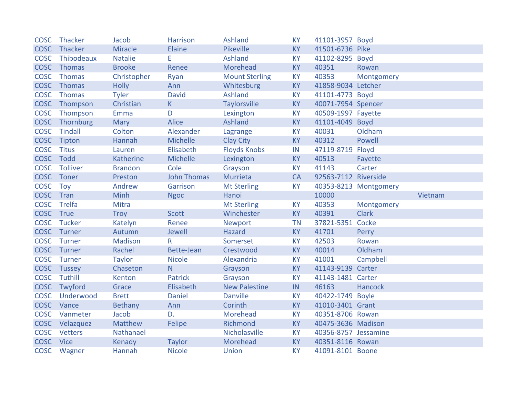| <b>COSC</b> | Thacker         | Jacob            | <b>Harrison</b>    | Ashland               | <b>KY</b> | 41101-3957 Boyd      |                       |
|-------------|-----------------|------------------|--------------------|-----------------------|-----------|----------------------|-----------------------|
| <b>COSC</b> | Thacker         | Miracle          | Elaine             | Pikeville             | <b>KY</b> | 41501-6736 Pike      |                       |
| <b>COSC</b> | Thibodeaux      | <b>Natalie</b>   | E.                 | Ashland               | <b>KY</b> | 41102-8295 Boyd      |                       |
| <b>COSC</b> | Thomas          | <b>Brooke</b>    | Renee              | Morehead              | <b>KY</b> | 40351                | Rowan                 |
| <b>COSC</b> | Thomas          | Christopher      | Ryan               | <b>Mount Sterling</b> | <b>KY</b> | 40353                | Montgomery            |
| <b>COSC</b> | Thomas          | <b>Holly</b>     | Ann                | Whitesburg            | <b>KY</b> | 41858-9034 Letcher   |                       |
| <b>COSC</b> | <b>Thomas</b>   | <b>Tyler</b>     | <b>David</b>       | Ashland               | <b>KY</b> | 41101-4773 Boyd      |                       |
| <b>COSC</b> | Thompson        | Christian        | K                  | <b>Taylorsville</b>   | <b>KY</b> | 40071-7954 Spencer   |                       |
| <b>COSC</b> | Thompson        | Emma             | D                  | Lexington             | KY        | 40509-1997 Fayette   |                       |
| <b>COSC</b> | Thornburg       | <b>Mary</b>      | <b>Alice</b>       | <b>Ashland</b>        | <b>KY</b> | 41101-4049 Boyd      |                       |
| <b>COSC</b> | Tindall         | Colton           | Alexander          | Lagrange              | KY        | 40031                | Oldham                |
| <b>COSC</b> | Tipton          | Hannah           | <b>Michelle</b>    | <b>Clay City</b>      | <b>KY</b> | 40312                | Powell                |
| <b>COSC</b> | <b>Titus</b>    | Lauren           | Elisabeth          | <b>Floyds Knobs</b>   | IN        | 47119-8719 Floyd     |                       |
| <b>COSC</b> | Todd            | <b>Katherine</b> | <b>Michelle</b>    | Lexington             | <b>KY</b> | 40513                | Fayette               |
| <b>COSC</b> | <b>Tolliver</b> | <b>Brandon</b>   | Cole               | Grayson               | <b>KY</b> | 41143                | Carter                |
| <b>COSC</b> | Toner           | Preston          | <b>John Thomas</b> | Murrieta              | <b>CA</b> | 92563-7112 Riverside |                       |
| <b>COSC</b> | Toy             | Andrew           | Garrison           | <b>Mt Sterling</b>    | <b>KY</b> |                      | 40353-8213 Montgomery |
| <b>COSC</b> | Tran            | Minh             | <b>Ngoc</b>        | Hanoi                 |           | 10000                | Vietnam               |
| <b>COSC</b> | Trelfa          | Mitra            |                    | <b>Mt Sterling</b>    | <b>KY</b> | 40353                | Montgomery            |
| <b>COSC</b> | True            | <b>Troy</b>      | <b>Scott</b>       | Winchester            | <b>KY</b> | 40391                | <b>Clark</b>          |
| <b>COSC</b> | Tucker          | Katelyn          | Renee              | <b>Newport</b>        | <b>TN</b> | 37821-5351 Cocke     |                       |
| <b>COSC</b> | Turner          | Autumn           | Jewell             | <b>Hazard</b>         | <b>KY</b> | 41701                | Perry                 |
| <b>COSC</b> | Turner          | <b>Madison</b>   | R                  |                       |           |                      |                       |
| <b>COSC</b> |                 |                  |                    | Somerset              | KY        | 42503                | Rowan                 |
| <b>COSC</b> | Turner          | Rachel           | Bette-Jean         | Crestwood             | <b>KY</b> | 40014                | Oldham                |
|             | Turner          | <b>Taylor</b>    | <b>Nicole</b>      | Alexandria            | <b>KY</b> | 41001                | Campbell              |
| <b>COSC</b> | Tussey          | Chaseton         | N.                 | Grayson               | <b>KY</b> | 41143-9139 Carter    |                       |
| <b>COSC</b> | Tuthill         | Kenton           | <b>Patrick</b>     | Grayson               | KY        | 41143-1481 Carter    |                       |
| <b>COSC</b> | Twyford         | Grace            | Elisabeth          | <b>New Palestine</b>  | IN        | 46163                | Hancock               |
| <b>COSC</b> | Underwood       | <b>Brett</b>     | <b>Daniel</b>      | <b>Danville</b>       | <b>KY</b> | 40422-1749 Boyle     |                       |
| <b>COSC</b> | Vance           | Bethany          | Ann                | Corinth               | <b>KY</b> | 41010-3401 Grant     |                       |
| <b>COSC</b> | Vanmeter        | Jacob            | D.                 | Morehead              | <b>KY</b> | 40351-8706 Rowan     |                       |
| <b>COSC</b> | Velazquez       | Matthew          | Felipe             | Richmond              | <b>KY</b> | 40475-3636 Madison   |                       |
| <b>COSC</b> | <b>Vetters</b>  | Nathanael        |                    | Nicholasville         | <b>KY</b> | 40356-8757 Jessamine |                       |
| <b>COSC</b> | <b>Vice</b>     | Kenady           | <b>Taylor</b>      | Morehead              | <b>KY</b> | 40351-8116 Rowan     |                       |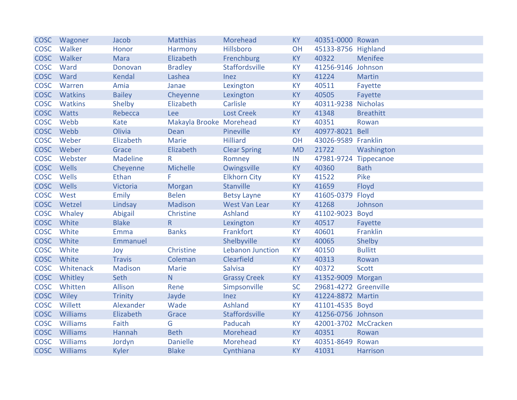| <b>COSC</b> | Wagoner       | Jacob           | <b>Matthias</b>         | Morehead                | <b>KY</b> | 40351-0000 Rowan      |                  |
|-------------|---------------|-----------------|-------------------------|-------------------------|-----------|-----------------------|------------------|
| <b>COSC</b> | Walker        | Honor           | Harmony                 | Hillsboro               | OH        | 45133-8756 Highland   |                  |
| <b>COSC</b> | Walker        | <b>Mara</b>     | Elizabeth               | Frenchburg              | <b>KY</b> | 40322                 | Menifee          |
| <b>COSC</b> | Ward          | Donovan         | <b>Bradley</b>          | Staffordsville          | <b>KY</b> | 41256-9146 Johnson    |                  |
| <b>COSC</b> | Ward          | <b>Kendal</b>   | Lashea                  | Inez                    | KY        | 41224                 | <b>Martin</b>    |
| <b>COSC</b> | Warren        | Amia            | Janae                   | Lexington               | <b>KY</b> | 40511                 | Fayette          |
| <b>COSC</b> | Watkins       | <b>Bailey</b>   | Cheyenne                | Lexington               | KY        | 40505                 | Fayette          |
| <b>COSC</b> | Watkins       | Shelby          | Elizabeth               | Carlisle                | <b>KY</b> | 40311-9238            | <b>Nicholas</b>  |
| <b>COSC</b> | Watts         | Rebecca         | Lee                     | <b>Lost Creek</b>       | KY        | 41348                 | <b>Breathitt</b> |
| <b>COSC</b> | Webb          | Kate            | Makayla Brooke Morehead |                         | <b>KY</b> | 40351                 | Rowan            |
| <b>COSC</b> | Webb          | Olivia          | <b>Dean</b>             | Pineville               | <b>KY</b> | 40977-8021            | <b>Bell</b>      |
| <b>COSC</b> | Weber         | Elizabeth       | Marie                   | <b>Hilliard</b>         | OH        | 43026-9589 Franklin   |                  |
|             | COSC Weber    | Grace           | Elizabeth               | <b>Clear Spring</b>     | <b>MD</b> | 21722                 | Washington       |
| <b>COSC</b> | Webster       | <b>Madeline</b> | $\mathsf{R}$            | Romney                  | IN        | 47981-9724 Tippecanoe |                  |
| <b>COSC</b> | Wells         | Cheyenne        | Michelle                | Owingsville             | KY        | 40360                 | <b>Bath</b>      |
| <b>COSC</b> | Wells         | Ethan           | F                       | <b>Elkhorn City</b>     | KY        | 41522                 | Pike             |
| <b>COSC</b> | Wells         | Victoria        | Morgan                  | Stanville               | <b>KY</b> | 41659                 | Floyd            |
| <b>COSC</b> | West          | <b>Emily</b>    | <b>Belen</b>            | <b>Betsy Layne</b>      | <b>KY</b> | 41605-0379            | Floyd            |
| <b>COSC</b> | Wetzel        | Lindsay         | Madison                 | <b>West Van Lear</b>    | <b>KY</b> | 41268                 | Johnson          |
| <b>COSC</b> | Whaley        | <b>Abigail</b>  | Christine               | <b>Ashland</b>          | <b>KY</b> | 41102-9023            | <b>Boyd</b>      |
| <b>COSC</b> | White         | <b>Blake</b>    | R                       | Lexington               | KY        | 40517                 | Fayette          |
| <b>COSC</b> | White         | Emma            | <b>Banks</b>            | Frankfort               | KY        | 40601                 | Franklin         |
| <b>COSC</b> | White         | Emmanuel        |                         | Shelbyville             | <b>KY</b> | 40065                 | Shelby           |
| <b>COSC</b> | White         | Joy             | Christine               | <b>Lebanon Junction</b> | KY        | 40150                 | <b>Bullitt</b>   |
| <b>COSC</b> | White         | <b>Travis</b>   | Coleman                 | Clearfield              | <b>KY</b> | 40313                 | Rowan            |
| <b>COSC</b> | Whitenack     | <b>Madison</b>  | Marie                   | <b>Salvisa</b>          | KY        | 40372                 | <b>Scott</b>     |
| <b>COSC</b> | Whitley       | Seth            | N                       | <b>Grassy Creek</b>     | <b>KY</b> | 41352-9009 Morgan     |                  |
| <b>COSC</b> | Whitten       | Allison         | Rene                    | Simpsonville            | <b>SC</b> | 29681-4272 Greenville |                  |
| <b>COSC</b> | Wiley         | <b>Trinity</b>  | Jayde                   | Inez                    | <b>KY</b> | 41224-8872 Martin     |                  |
| <b>COSC</b> | Willett       | Alexander       | Wade                    | <b>Ashland</b>          | KY        | 41101-4535 Boyd       |                  |
| <b>COSC</b> | Williams      | Elizabeth       | Grace                   | Staffordsville          | KY        | 41256-0756 Johnson    |                  |
| <b>COSC</b> | Williams      | Faith           | G                       | Paducah                 | <b>KY</b> | 42001-3702 McCracken  |                  |
| <b>COSC</b> | Williams      | Hannah          | <b>Beth</b>             | Morehead                | <b>KY</b> | 40351                 | Rowan            |
| <b>COSC</b> | Williams      | Jordyn          | <b>Danielle</b>         | Morehead                | KY        | 40351-8649            | Rowan            |
|             | COSC Williams | <b>Kyler</b>    | <b>Blake</b>            | Cynthiana               | <b>KY</b> | 41031                 | Harrison         |